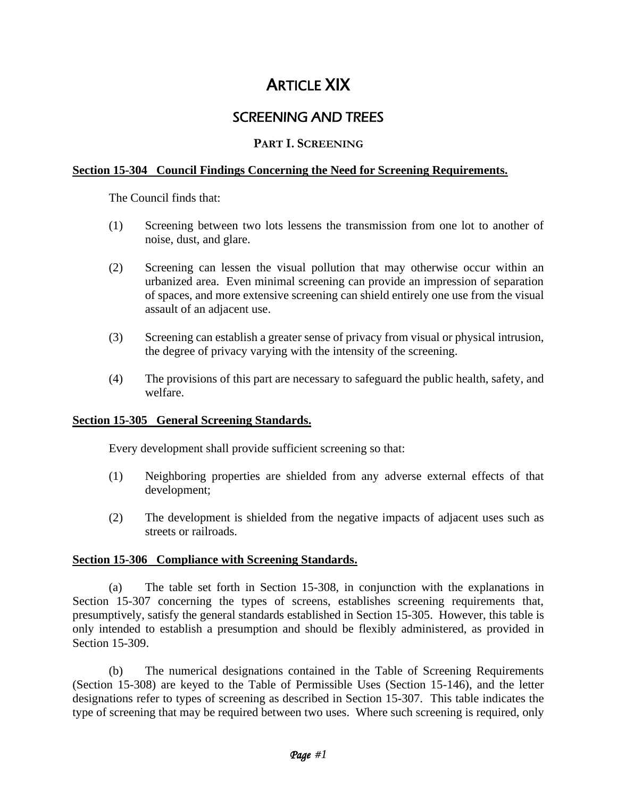# **ARTICLE XIX**

# SCREENING AND TREES

## **PART I. SCREENING**

### **Section 15-304 Council Findings Concerning the Need for Screening Requirements.**

The Council finds that:

- (1) Screening between two lots lessens the transmission from one lot to another of noise, dust, and glare.
- (2) Screening can lessen the visual pollution that may otherwise occur within an urbanized area. Even minimal screening can provide an impression of separation of spaces, and more extensive screening can shield entirely one use from the visual assault of an adjacent use.
- (3) Screening can establish a greater sense of privacy from visual or physical intrusion, the degree of privacy varying with the intensity of the screening.
- (4) The provisions of this part are necessary to safeguard the public health, safety, and welfare.

#### **Section 15-305 General Screening Standards.**

Every development shall provide sufficient screening so that:

- (1) Neighboring properties are shielded from any adverse external effects of that development;
- (2) The development is shielded from the negative impacts of adjacent uses such as streets or railroads.

#### **Section 15-306 Compliance with Screening Standards.**

(a) The table set forth in Section 15-308, in conjunction with the explanations in Section 15-307 concerning the types of screens, establishes screening requirements that, presumptively, satisfy the general standards established in Section 15-305. However, this table is only intended to establish a presumption and should be flexibly administered, as provided in Section 15-309.

(b) The numerical designations contained in the Table of Screening Requirements (Section 15-308) are keyed to the Table of Permissible Uses (Section 15-146), and the letter designations refer to types of screening as described in Section 15-307. This table indicates the type of screening that may be required between two uses. Where such screening is required, only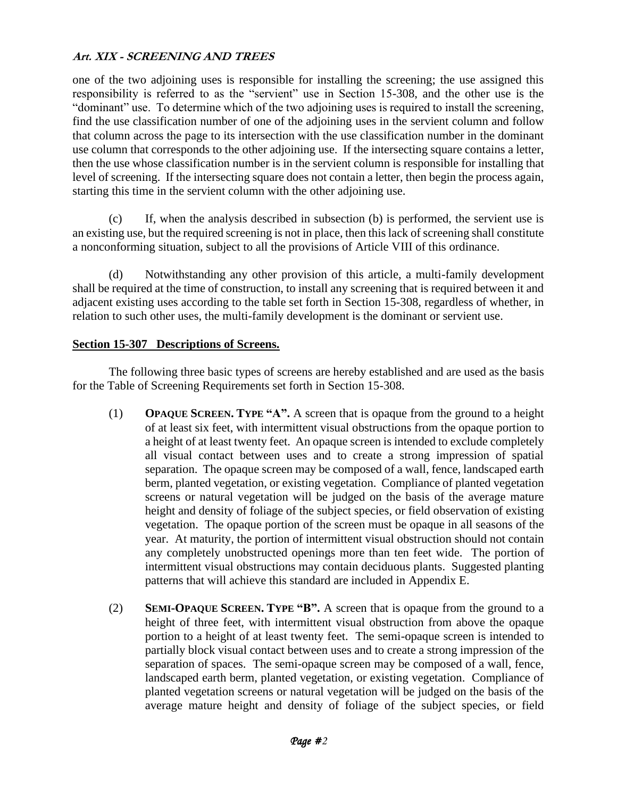one of the two adjoining uses is responsible for installing the screening; the use assigned this responsibility is referred to as the "servient" use in Section 15-308, and the other use is the "dominant" use. To determine which of the two adjoining uses is required to install the screening, find the use classification number of one of the adjoining uses in the servient column and follow that column across the page to its intersection with the use classification number in the dominant use column that corresponds to the other adjoining use. If the intersecting square contains a letter, then the use whose classification number is in the servient column is responsible for installing that level of screening. If the intersecting square does not contain a letter, then begin the process again, starting this time in the servient column with the other adjoining use.

(c) If, when the analysis described in subsection (b) is performed, the servient use is an existing use, but the required screening is not in place, then this lack of screening shall constitute a nonconforming situation, subject to all the provisions of Article VIII of this ordinance.

(d) Notwithstanding any other provision of this article, a multi-family development shall be required at the time of construction, to install any screening that is required between it and adjacent existing uses according to the table set forth in Section 15-308, regardless of whether, in relation to such other uses, the multi-family development is the dominant or servient use.

### **Section 15-307 Descriptions of Screens.**

The following three basic types of screens are hereby established and are used as the basis for the Table of Screening Requirements set forth in Section 15-308.

- (1) **OPAQUE SCREEN. TYPE "A".** A screen that is opaque from the ground to a height of at least six feet, with intermittent visual obstructions from the opaque portion to a height of at least twenty feet. An opaque screen is intended to exclude completely all visual contact between uses and to create a strong impression of spatial separation. The opaque screen may be composed of a wall, fence, landscaped earth berm, planted vegetation, or existing vegetation. Compliance of planted vegetation screens or natural vegetation will be judged on the basis of the average mature height and density of foliage of the subject species, or field observation of existing vegetation. The opaque portion of the screen must be opaque in all seasons of the year. At maturity, the portion of intermittent visual obstruction should not contain any completely unobstructed openings more than ten feet wide. The portion of intermittent visual obstructions may contain deciduous plants. Suggested planting patterns that will achieve this standard are included in Appendix E.
- (2) **SEMI-OPAQUE SCREEN. TYPE "B".** A screen that is opaque from the ground to a height of three feet, with intermittent visual obstruction from above the opaque portion to a height of at least twenty feet. The semi-opaque screen is intended to partially block visual contact between uses and to create a strong impression of the separation of spaces. The semi-opaque screen may be composed of a wall, fence, landscaped earth berm, planted vegetation, or existing vegetation. Compliance of planted vegetation screens or natural vegetation will be judged on the basis of the average mature height and density of foliage of the subject species, or field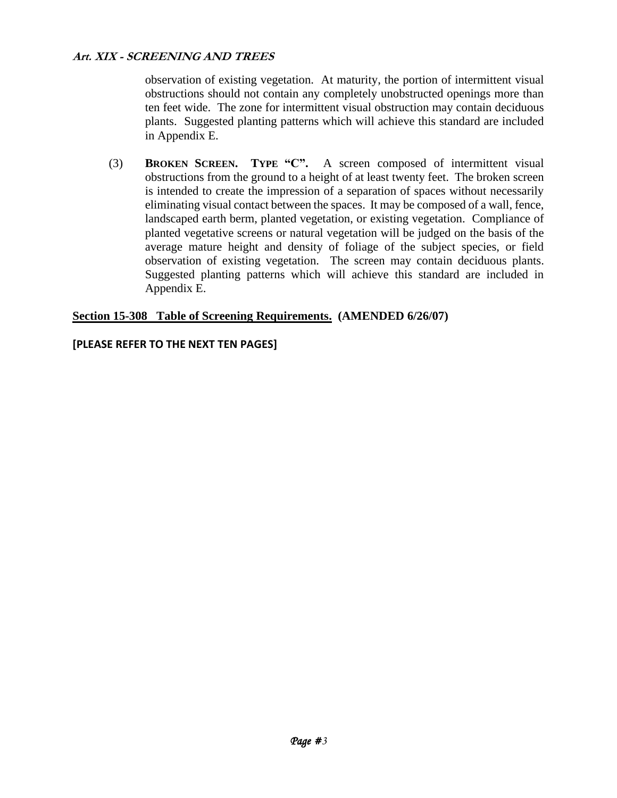observation of existing vegetation. At maturity, the portion of intermittent visual obstructions should not contain any completely unobstructed openings more than ten feet wide. The zone for intermittent visual obstruction may contain deciduous plants. Suggested planting patterns which will achieve this standard are included in Appendix E.

(3) **BROKEN SCREEN. TYPE "C".** A screen composed of intermittent visual obstructions from the ground to a height of at least twenty feet. The broken screen is intended to create the impression of a separation of spaces without necessarily eliminating visual contact between the spaces. It may be composed of a wall, fence, landscaped earth berm, planted vegetation, or existing vegetation. Compliance of planted vegetative screens or natural vegetation will be judged on the basis of the average mature height and density of foliage of the subject species, or field observation of existing vegetation. The screen may contain deciduous plants. Suggested planting patterns which will achieve this standard are included in Appendix E.

### **Section 15-308 Table of Screening Requirements. (AMENDED 6/26/07)**

### **[PLEASE REFER TO THE NEXT TEN PAGES]**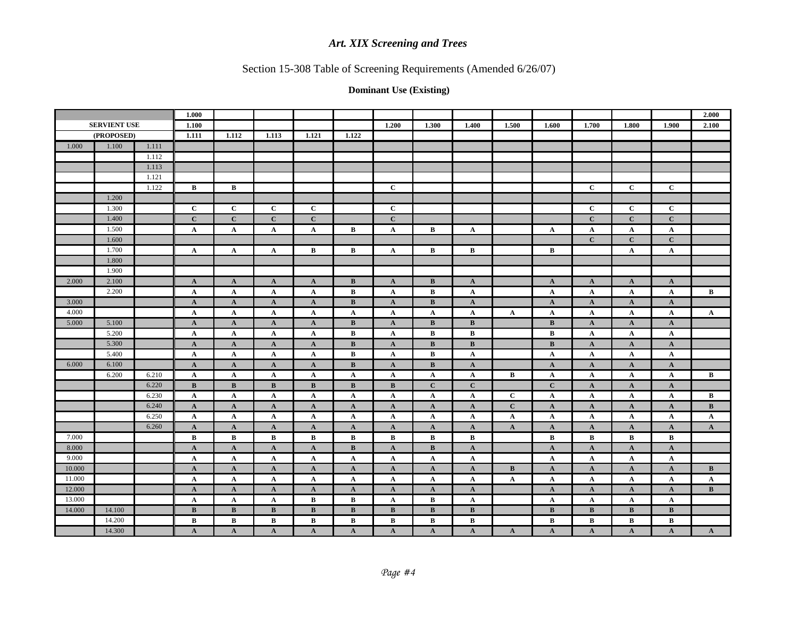# Section 15-308 Table of Screening Requirements (Amended 6/26/07)

|        |                     |       | 1.000        |              |              |              |              |              |              |                 |                 |              |              |              |              | 2.000           |
|--------|---------------------|-------|--------------|--------------|--------------|--------------|--------------|--------------|--------------|-----------------|-----------------|--------------|--------------|--------------|--------------|-----------------|
|        | <b>SERVIENT USE</b> |       | 1.100        |              |              |              |              | 1.200        | 1.300        | 1.400           | 1.500           | 1.600        | 1.700        | 1.800        | 1.900        | 2.100           |
|        | (PROPOSED)          |       | 1.111        | 1.112        | 1.113        | 1.121        | 1.122        |              |              |                 |                 |              |              |              |              |                 |
| 1.000  | 1.100               | 1.111 |              |              |              |              |              |              |              |                 |                 |              |              |              |              |                 |
|        |                     | 1.112 |              |              |              |              |              |              |              |                 |                 |              |              |              |              |                 |
|        |                     | 1.113 |              |              |              |              |              |              |              |                 |                 |              |              |              |              |                 |
|        |                     | 1.121 |              |              |              |              |              |              |              |                 |                 |              |              |              |              |                 |
|        |                     | 1.122 | $\mathbf{B}$ | $\bf{B}$     |              |              |              | $\mathbf{C}$ |              |                 |                 |              | $\mathbf{C}$ | $\mathbf{C}$ | $\mathbf C$  |                 |
|        | 1.200               |       |              |              |              |              |              |              |              |                 |                 |              |              |              |              |                 |
|        | 1.300               |       | $\mathbf{C}$ | $\mathbf{C}$ | $\mathbf{C}$ | $\mathbf C$  |              | $\mathbf C$  |              |                 |                 |              | $\mathbf{C}$ | $\mathbf C$  | $\mathbf C$  |                 |
|        | 1.400               |       | $\mathbf{C}$ | $\mathbf{C}$ | $\mathbf C$  | $\mathbf{C}$ |              | $\mathbf C$  |              |                 |                 |              | $\mathbf C$  | $\mathbf{C}$ | $\mathbf{C}$ |                 |
|        | 1.500               |       | $\mathbf A$  | $\mathbf{A}$ | $\mathbf A$  | $\mathbf{A}$ | B            | $\mathbf{A}$ | B            | $\mathbf{A}$    |                 | $\mathbf{A}$ | $\mathbf A$  | $\mathbf{A}$ | $\mathbf{A}$ |                 |
|        | 1.600               |       |              |              |              |              |              |              |              |                 |                 |              | $\mathbf{C}$ | $\mathbf{C}$ | $\mathbf C$  |                 |
|        | 1.700               |       | $\mathbf{A}$ | $\mathbf{A}$ | $\mathbf{A}$ | $\bf{B}$     | $\, {\bf B}$ | $\mathbf{A}$ | $\bf{B}$     | $\bf{B}$        |                 | $\bf{B}$     |              | $\mathbf{A}$ | $\mathbf{A}$ |                 |
|        | 1.800               |       |              |              |              |              |              |              |              |                 |                 |              |              |              |              |                 |
|        | 1.900               |       |              |              |              |              |              |              |              |                 |                 |              |              |              |              |                 |
| 2.000  | 2.100               |       | $\mathbf{A}$ | $\mathbf{A}$ | $\mathbf{A}$ | $\mathbf{A}$ | $\bf{B}$     | $\mathbf A$  | B            | $\mathbf{A}$    |                 | $\mathbf{A}$ | $\mathbf A$  | $\mathbf{A}$ | $\mathbf{A}$ |                 |
|        | 2.200               |       | $\mathbf{A}$ | $\mathbf{A}$ | $\mathbf A$  | $\mathbf{A}$ | B            | $\mathbf A$  | B            | $\mathbf{A}$    |                 | $\mathbf{A}$ | $\mathbf{A}$ | $\mathbf{A}$ | $\mathbf{A}$ | $\bf{B}$        |
| 3.000  |                     |       | $\mathbf{A}$ | $\mathbf{A}$ | $\mathbf{A}$ | $\mathbf{A}$ | B            | $\mathbf{A}$ | B            | $\mathbf{A}$    |                 | $\mathbf{A}$ | $\mathbf A$  | $\mathbf{A}$ | $\mathbf{A}$ |                 |
| 4.000  |                     |       | $\mathbf{A}$ | $\mathbf{A}$ | $\mathbf{A}$ | $\mathbf{A}$ | $\mathbf{A}$ | $\mathbf A$  | $\mathbf{A}$ | $\mathbf A$     | $\mathbf{A}$    | $\mathbf A$  | A            | $\mathbf A$  | $\mathbf{A}$ | ${\bf A}$       |
| 5.000  | 5.100               |       | $\mathbf A$  | $\mathbf{A}$ | $\mathbf{A}$ | $\mathbf{A}$ | $\bf{B}$     | $\mathbf A$  | $\bf{B}$     | B               |                 | B            | $\mathbf A$  | $\mathbf{A}$ | $\mathbf{A}$ |                 |
|        | 5.200               |       | $\mathbf{A}$ | $\mathbf{A}$ | $\mathbf A$  | $\mathbf{A}$ | B            | $\mathbf{A}$ | $\bf{B}$     | $\bf{B}$        |                 | B            | A            | $\mathbf{A}$ | $\mathbf{A}$ |                 |
|        | 5.300               |       | $\mathbf A$  | $\mathbf{A}$ | $\mathbf{A}$ | $\mathbf{A}$ | $\, {\bf B}$ | $\mathbf{A}$ | $\bf{B}$     | $\bf{B}$        |                 | $\, {\bf B}$ | $\mathbf A$  | $\mathbf{A}$ | $\mathbf{A}$ |                 |
|        | 5.400               |       | $\mathbf{A}$ | $\mathbf{A}$ | $\mathbf{A}$ | $\mathbf{A}$ | B            | $\mathbf A$  | $\bf{B}$     | $\mathbf A$     |                 | $\mathbf{A}$ | A            | $\mathbf A$  | $\mathbf{A}$ |                 |
| 6.000  | 6.100               |       | $\mathbf{A}$ | $\mathbf{A}$ | $\mathbf{A}$ | $\mathbf{A}$ | $\bf{B}$     | $\mathbf{A}$ | B            | $\mathbf{A}$    |                 | $\mathbf{A}$ | $\mathbf{A}$ | $\mathbf{A}$ | $\mathbf{A}$ |                 |
|        | 6.200               | 6.210 | $\mathbf{A}$ | $\mathbf{A}$ | $\mathbf{A}$ | $\mathbf{A}$ | $\mathbf{A}$ | $\mathbf A$  | $\mathbf{A}$ | $\mathbf{A}$    | $\bf{B}$        | $\mathbf{A}$ | $\mathbf A$  | $\mathbf{A}$ | $\mathbf{A}$ | $\bf{B}$        |
|        |                     | 6.220 | $\, {\bf B}$ | B            | $\mathbf B$  | $\, {\bf B}$ | $\bf{B}$     | $\, {\bf B}$ | $\mathbf C$  | $\mathbf C$     |                 | $\mathbf C$  | $\mathbf A$  | $\mathbf{A}$ | $\mathbf{A}$ |                 |
|        |                     | 6.230 | $\mathbf{A}$ | $\mathbf{A}$ | $\mathbf{A}$ | $\mathbf{A}$ | $\mathbf{A}$ | $\mathbf{A}$ | $\mathbf{A}$ | $\mathbf{A}$    | $\mathbf{C}$    | $\mathbf{A}$ | $\mathbf A$  | $\mathbf{A}$ | $\mathbf{A}$ | $\mathbf{B}$    |
|        |                     | 6.240 | $\mathbf{A}$ | $\mathbf{A}$ | $\mathbf{A}$ | $\mathbf{A}$ | $\mathbf{A}$ | $\mathbf{A}$ | $\mathbf{A}$ | $\mathbf{A}$    | $\mathbf{C}$    | $\mathbf{A}$ | $\mathbf A$  | $\mathbf{A}$ | $\mathbf{A}$ | B               |
|        |                     | 6.250 | $\mathbf A$  | $\mathbf{A}$ | $\mathbf{A}$ | $\mathbf{A}$ | $\mathbf{A}$ | $\mathbf A$  | $\mathbf{A}$ | $\mathbf A$     | $\mathbf{A}$    | $\mathbf A$  | A            | $\mathbf A$  | $\mathbf{A}$ | $\mathbf{A}$    |
|        |                     | 6.260 | $\mathbf{A}$ | $\mathbf{A}$ | $\mathbf{A}$ | $\mathbf{A}$ | $\mathbf{A}$ | $\mathbf{A}$ | $\mathbf{A}$ | $\mathbf{A}$    | $\mathbf{A}$    | $\mathbf{A}$ | $\mathbf A$  | $\mathbf{A}$ | $\mathbf{A}$ | $\mathbf{A}$    |
| 7.000  |                     |       | $\bf{B}$     | B            | B            | B            | $\bf{B}$     | B            | B            | B               |                 | $\bf{B}$     | B            | B            | $\bf{B}$     |                 |
| 8.000  |                     |       | $\mathbf{A}$ | $\mathbf{A}$ | $\mathbf{A}$ | $\mathbf{A}$ | $\bf{B}$     | $\mathbf{A}$ | $\bf{B}$     | $\mathbf A$     |                 | $\mathbf{A}$ | $\mathbf A$  | $\mathbf A$  | $\mathbf{A}$ |                 |
| 9.000  |                     |       | $\mathbf A$  | $\mathbf A$  | $\mathbf{A}$ | $\mathbf{A}$ | $\mathbf{A}$ | $\mathbf A$  | $\mathbf{A}$ | $\mathbf A$     |                 | $\mathbf{A}$ | A            | $\mathbf{A}$ | $\mathbf{A}$ |                 |
| 10.000 |                     |       | $\mathbf{A}$ | $\mathbf{A}$ | $\mathbf{A}$ | $\mathbf{A}$ | $\mathbf{A}$ | $\mathbf{A}$ | ${\bf A}$    | ${\bf A}$       | $\, {\bf B} \,$ | $\mathbf{A}$ | $\mathbf{A}$ | $\mathbf{A}$ | $\mathbf{A}$ | $\, {\bf B} \,$ |
| 11.000 |                     |       | $\mathbf A$  | $\mathbf{A}$ | $\mathbf{A}$ | $\mathbf{A}$ | $\mathbf{A}$ | $\mathbf A$  | $\mathbf{A}$ | $\mathbf{A}$    | $\mathbf{A}$    | $\mathbf{A}$ | $\mathbf{A}$ | $\mathbf{A}$ | $\mathbf{A}$ | $\mathbf{A}$    |
| 12.000 |                     |       | $\mathbf{A}$ | $\mathbf{A}$ | $\mathbf{A}$ | $\mathbf{A}$ | $\mathbf{A}$ | $\mathbf{A}$ | $\mathbf{A}$ | $\mathbf{A}$    |                 | $\mathbf{A}$ | $\mathbf{A}$ | $\mathbf{A}$ | $\mathbf{A}$ | B               |
| 13.000 |                     |       | $\mathbf{A}$ | $\mathbf{A}$ | $\mathbf{A}$ | $\bf{B}$     | B            | $\mathbf{A}$ | $\bf{B}$     | $\mathbf{A}$    |                 | $\mathbf{A}$ | $\mathbf{A}$ | $\mathbf{A}$ | $\mathbf{A}$ |                 |
| 14.000 | 14.100              |       | $\bf{B}$     | B            | B            | $\bf{B}$     | B            | $\bf{B}$     | B            | B               |                 | B            | $\bf{B}$     | B            | B            |                 |
|        | 14.200              |       | $\, {\bf B}$ | B            | $\, {\bf B}$ | $\bf{B}$     | $\, {\bf B}$ | B            | $\bf{B}$     | $\, {\bf B} \,$ |                 | $\, {\bf B}$ | B            | $\, {\bf B}$ | $\, {\bf B}$ |                 |
|        | 14.300              |       | $\mathbf A$  | $\mathbf{A}$ | $\mathbf{A}$ | $\mathbf{A}$ | $\mathbf{A}$ | $\mathbf{A}$ | $\mathbf{A}$ | $\mathbf{A}$    | $\mathbf{A}$    | $\mathbf{A}$ | $\mathbf{A}$ | $\mathbf{A}$ | $\mathbf{A}$ | $\mathbf{A}$    |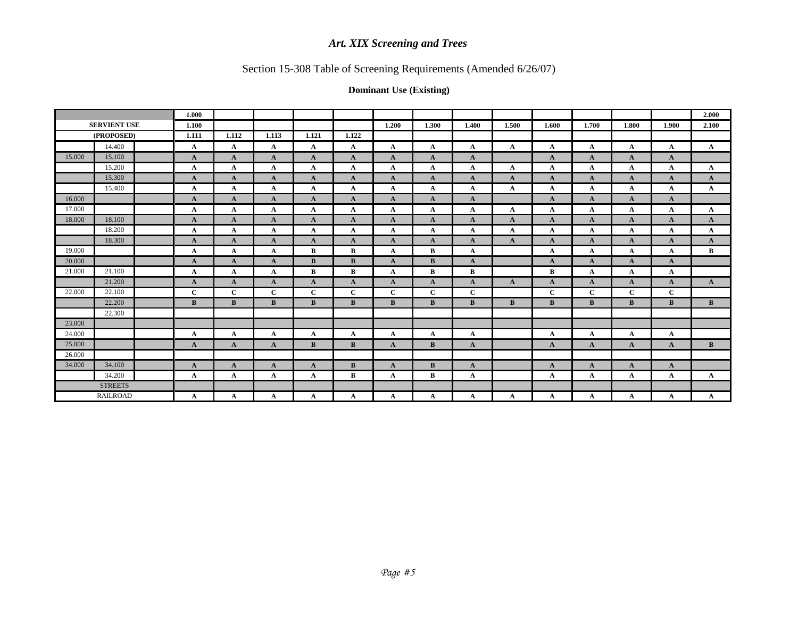# Section 15-308 Table of Screening Requirements (Amended 6/26/07)

|        |                     | 1.000        |              |              |              |              |              |              |              |              |              |              |              |              | 2.000        |
|--------|---------------------|--------------|--------------|--------------|--------------|--------------|--------------|--------------|--------------|--------------|--------------|--------------|--------------|--------------|--------------|
|        | <b>SERVIENT USE</b> | 1.100        |              |              |              |              | 1.200        | 1.300        | 1.400        | 1.500        | 1.600        | 1.700        | 1.800        | 1.900        | 2.100        |
|        | (PROPOSED)          | 1.111        | 1.112        | 1.113        | 1.121        | 1.122        |              |              |              |              |              |              |              |              |              |
|        | 14.400              | $\mathbf{A}$ | $\mathbf{A}$ | $\mathbf A$  | $\mathbf{A}$ | $\mathbf{A}$ | $\mathbf{A}$ | $\mathbf{A}$ | $\mathbf{A}$ | $\mathbf{A}$ | $\mathbf A$  | A            | A            | $\mathbf{A}$ | $\mathbf{A}$ |
| 15.000 | 15.100              | $\mathbf{A}$ | $\mathbf{A}$ | $\mathbf{A}$ | $\mathbf{A}$ | $\mathbf{A}$ | $\mathbf{A}$ | $\mathbf{A}$ | $\mathbf{A}$ |              | $\mathbf{A}$ | $\mathbf{A}$ | $\mathbf A$  | $\mathbf{A}$ |              |
|        | 15.200              | A            | $\mathbf A$  | A            | $\mathbf{A}$ | A            | $\mathbf{A}$ | A            | $\mathbf A$  | $\mathbf{A}$ | $\mathbf{A}$ | A            | A            | $\mathbf{A}$ | $\mathbf{A}$ |
|        | 15.300              | $\mathbf{A}$ | $\mathbf{A}$ | $\mathbf A$  | $\mathbf{A}$ | $\mathbf{A}$ | $\mathbf{A}$ | $\mathbf{A}$ | $\mathbf{A}$ | $\mathbf{A}$ | $\mathbf{A}$ | $\mathbf{A}$ | $\mathbf A$  | $\mathbf{A}$ | $\mathbf{A}$ |
|        | 15.400              | A            | $\mathbf A$  | A            | $\mathbf{A}$ | $\mathbf{A}$ | $\mathbf{A}$ | A            | $\mathbf A$  | $\mathbf{A}$ | $\mathbf{A}$ | A            | A            | $\mathbf A$  | $\mathbf{A}$ |
| 16.000 |                     | $\mathbf{A}$ | $\mathbf{A}$ | $\mathbf A$  | $\mathbf{A}$ | $\mathbf{A}$ | $\mathbf{A}$ | $\mathbf{A}$ | $\mathbf{A}$ |              | $\mathbf{A}$ | $\mathbf{A}$ | A            | $\mathbf{A}$ |              |
| 17.000 |                     | A            | $\mathbf A$  | $\mathbf A$  | A            | $\mathbf{A}$ | $\mathbf{A}$ | A            | $\mathbf A$  | $\mathbf{A}$ | $\mathbf{A}$ | A            | A            | $\mathbf{A}$ | $\mathbf{A}$ |
| 18.000 | 18.100              | $\mathbf{A}$ | A            | A            | $\mathbf{A}$ | $\mathbf{A}$ | $\mathbf{A}$ | $\mathbf{A}$ | $\mathbf{A}$ | $\mathbf{A}$ | $\mathbf{A}$ | $\mathbf{A}$ | A            | $\mathbf{A}$ | $\mathbf{A}$ |
|        | 18.200              | $\mathbf{A}$ | $\mathbf A$  | $\mathbf A$  | $\mathbf{A}$ | $\mathbf A$  | $\mathbf{A}$ | $\mathbf{A}$ | $\mathbf{A}$ | $\mathbf{A}$ | $\mathbf A$  | $\mathbf A$  | A            | $\mathbf{A}$ | $\mathbf{A}$ |
|        | 18.300              | $\mathbf{A}$ | $\mathbf{A}$ | A            | $\mathbf{A}$ | $\mathbf{A}$ | $\mathbf{A}$ | $\mathbf{A}$ | $\mathbf{A}$ | $\mathbf{A}$ | $\mathbf{A}$ | $\mathbf{A}$ | A            | $\mathbf{A}$ | $\mathbf{A}$ |
| 19.000 |                     | A            | $\mathbf{A}$ | A            | B            | B            | $\mathbf{A}$ | B            | $\mathbf{A}$ |              | $\mathbf{A}$ | $\mathbf A$  | A            | $\mathbf{A}$ | $\mathbf{B}$ |
| 20.000 |                     | $\mathbf{A}$ | $\mathbf{A}$ | $\mathbf{A}$ | B            | $\bf{B}$     | $\mathbf{A}$ | $\bf{B}$     | $\mathbf{A}$ |              | $\mathbf{A}$ | $\mathbf{A}$ | A            | $\mathbf{A}$ |              |
| 21.000 | 21.100              | $\mathbf{A}$ | A            | A            | B            | $\bf{B}$     | $\mathbf{A}$ | B            | $\bf{B}$     |              | $\bf{B}$     | A            | A            | $\mathbf{A}$ |              |
|        | 21.200              | $\mathbf{A}$ | $\mathbf{A}$ | $\mathbf{A}$ | $\mathbf{A}$ | $\mathbf{A}$ | $\mathbf{A}$ | $\mathbf{A}$ | $\mathbf{A}$ | $\mathbf{A}$ | $\mathbf{A}$ | $\mathbf{A}$ | A            | $\mathbf{A}$ | $\mathbf{A}$ |
| 22.000 | 22.100              | $\mathbf{C}$ | $\mathbf C$  | $\mathbf{C}$ | $\mathbf{C}$ | $\mathbf{C}$ | $\mathbf C$  | $\mathbf{C}$ | $\mathbf{C}$ |              | $\mathbf{C}$ | $\mathbf C$  | $\mathbf{C}$ | $\mathbf{C}$ |              |
|        | 22.200              | B            | B            | $\bf{B}$     | B            | $\bf{B}$     | B            | B            | B            | <sub>B</sub> | B            | $\bf{B}$     | B            | B            | B            |
|        | 22.300              |              |              |              |              |              |              |              |              |              |              |              |              |              |              |
| 23.000 |                     |              |              |              |              |              |              |              |              |              |              |              |              |              |              |
| 24.000 |                     | $\mathbf{A}$ | $\mathbf{A}$ | A            | $\mathbf{A}$ | $\mathbf{A}$ | $\mathbf{A}$ | $\mathbf{A}$ | $\mathbf{A}$ |              | $\mathbf{A}$ | A            | A            | $\mathbf{A}$ |              |
| 25.000 |                     | $\mathbf{A}$ | $\mathbf{A}$ | $\mathbf{A}$ | B            | $\bf{B}$     | $\mathbf{A}$ | $\bf{B}$     | $\mathbf{A}$ |              | $\mathbf{A}$ | $\mathbf{A}$ | $\mathbf{A}$ | $\mathbf{A}$ | $\mathbf{B}$ |
| 26.000 |                     |              |              |              |              |              |              |              |              |              |              |              |              |              |              |
| 34.000 | 34.100              | $\mathbf{A}$ | $\mathbf{A}$ | $\mathbf{A}$ | $\mathbf{A}$ | B            | $\mathbf{A}$ | B            | $\mathbf{A}$ |              | $\mathbf{A}$ | $\mathbf{A}$ | $\mathbf A$  | $\mathbf{A}$ |              |
|        | 34.200              | A            | $\mathbf A$  | $\mathbf A$  | $\mathbf A$  | $\bf{B}$     | $\mathbf{A}$ | B            | $\mathbf{A}$ |              | $\mathbf{A}$ | A            | A            | $\mathbf{A}$ | $\mathbf{A}$ |
|        | <b>STREETS</b>      |              |              |              |              |              |              |              |              |              |              |              |              |              |              |
|        | <b>RAILROAD</b>     | A            | A            | A            | A            | A            | A            | A            | $\mathbf{A}$ | A            | A            | A            | A            | A            | $\mathbf{A}$ |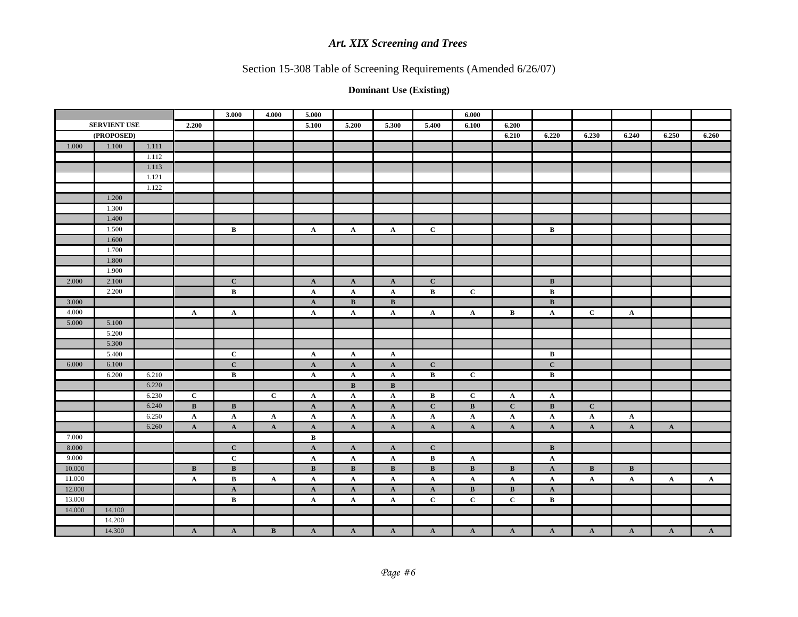# Section 15-308 Table of Screening Requirements (Amended 6/26/07)

|        |                     |       |                 | 3.000           | 4.000           | 5.000           |                 |                 |              | 6.000        |                 |              |                 |                 |              |              |
|--------|---------------------|-------|-----------------|-----------------|-----------------|-----------------|-----------------|-----------------|--------------|--------------|-----------------|--------------|-----------------|-----------------|--------------|--------------|
|        | <b>SERVIENT USE</b> |       | 2.200           |                 |                 | 5.100           | 5.200           | 5.300           | 5.400        | 6.100        | 6.200           |              |                 |                 |              |              |
|        | (PROPOSED)          |       |                 |                 |                 |                 |                 |                 |              |              | 6.210           | 6.220        | 6.230           | 6.240           | 6.250        | 6.260        |
| 1.000  | 1.100               | 1.111 |                 |                 |                 |                 |                 |                 |              |              |                 |              |                 |                 |              |              |
|        |                     | 1.112 |                 |                 |                 |                 |                 |                 |              |              |                 |              |                 |                 |              |              |
|        |                     | 1.113 |                 |                 |                 |                 |                 |                 |              |              |                 |              |                 |                 |              |              |
|        |                     | 1.121 |                 |                 |                 |                 |                 |                 |              |              |                 |              |                 |                 |              |              |
|        |                     | 1.122 |                 |                 |                 |                 |                 |                 |              |              |                 |              |                 |                 |              |              |
|        | 1.200               |       |                 |                 |                 |                 |                 |                 |              |              |                 |              |                 |                 |              |              |
|        | 1.300               |       |                 |                 |                 |                 |                 |                 |              |              |                 |              |                 |                 |              |              |
|        | 1.400               |       |                 |                 |                 |                 |                 |                 |              |              |                 |              |                 |                 |              |              |
|        | 1.500               |       |                 | $\bf{B}$        |                 | $\mathbf{A}$    | $\mathbf{A}$    | $\mathbf{A}$    | $\mathbf{C}$ |              |                 | $\, {\bf B}$ |                 |                 |              |              |
|        | 1.600               |       |                 |                 |                 |                 |                 |                 |              |              |                 |              |                 |                 |              |              |
|        | 1.700               |       |                 |                 |                 |                 |                 |                 |              |              |                 |              |                 |                 |              |              |
|        | 1.800               |       |                 |                 |                 |                 |                 |                 |              |              |                 |              |                 |                 |              |              |
|        | 1.900               |       |                 |                 |                 |                 |                 |                 |              |              |                 |              |                 |                 |              |              |
| 2.000  | 2.100               |       |                 | $\mathbf C$     |                 | $\mathbf{A}$    | $\mathbf{A}$    | $\mathbf{A}$    | $\mathbf C$  |              |                 | $\, {\bf B}$ |                 |                 |              |              |
|        | 2.200               |       |                 | B               |                 | $\mathbf{A}$    | $\mathbf{A}$    | A               | $\bf{B}$     | $\mathbf C$  |                 | $\, {\bf B}$ |                 |                 |              |              |
| 3.000  |                     |       |                 |                 |                 | $\mathbf{A}$    | B               | $\bf{B}$        |              |              |                 | B            |                 |                 |              |              |
| 4.000  |                     |       | $\mathbf{A}$    | $\mathbf{A}$    |                 | $\mathbf{A}$    | $\mathbf{A}$    | $\mathbf A$     | $\mathbf{A}$ | $\mathbf{A}$ | $\, {\bf B} \,$ | $\mathbf{A}$ | $\mathbf{C}$    | $\mathbf{A}$    |              |              |
| 5.000  | 5.100               |       |                 |                 |                 |                 |                 |                 |              |              |                 |              |                 |                 |              |              |
|        | 5.200               |       |                 |                 |                 |                 |                 |                 |              |              |                 |              |                 |                 |              |              |
|        | 5.300               |       |                 |                 |                 |                 |                 |                 |              |              |                 |              |                 |                 |              |              |
|        | 5.400               |       |                 | $\mathbf C$     |                 | $\mathbf{A}$    | $\mathbf{A}$    | $\mathbf A$     |              |              |                 | $\, {\bf B}$ |                 |                 |              |              |
| 6.000  | 6.100               |       |                 | $\bf C$         |                 | $\mathbf{A}$    | $\mathbf{A}$    | $\mathbf{A}$    | $\mathbf C$  |              |                 | $\mathbf C$  |                 |                 |              |              |
|        | 6.200               | 6.210 |                 | $\bf{B}$        |                 | $\mathbf{A}$    | $\mathbf{A}$    | $\mathbf A$     | $\bf{B}$     | $\mathbf C$  |                 | $\, {\bf B}$ |                 |                 |              |              |
|        |                     | 6.220 |                 |                 |                 |                 | $\mathbf{B}$    | $\, {\bf B}$    |              |              |                 |              |                 |                 |              |              |
|        |                     | 6.230 | $\mathbf C$     |                 | $\mathbf C$     | $\mathbf{A}$    | $\mathbf{A}$    | $\mathbf{A}$    | $\bf{B}$     | $\mathbf C$  | $\mathbf{A}$    | $\mathbf{A}$ |                 |                 |              |              |
|        |                     | 6.240 | $\, {\bf B}$    | $\mathbf B$     |                 | $\mathbf{A}$    | $\mathbf{A}$    | $\mathbf{A}$    | $\mathbf{C}$ | $\bf{B}$     | $\mathbf{C}$    | $\mathbf{B}$ | $\mathbf C$     |                 |              |              |
|        |                     | 6.250 | $\mathbf A$     | $\mathbf{A}$    | $\mathbf{A}$    | $\mathbf{A}$    | $\mathbf{A}$    | $\mathbf A$     | $\mathbf A$  | $\mathbf{A}$ | $\mathbf{A}$    | $\mathbf{A}$ | $\mathbf A$     | $\mathbf A$     |              |              |
|        |                     | 6.260 | $\mathbf{A}$    | $\mathbf{A}$    | $\mathbf{A}$    | $\mathbf{A}$    | $\mathbf{A}$    | $\mathbf{A}$    | $\mathbf{A}$ | $\mathbf{A}$ | $\mathbf{A}$    | $\mathbf{A}$ | $\mathbf{A}$    | $\mathbf{A}$    | $\mathbf{A}$ |              |
| 7.000  |                     |       |                 |                 |                 | B               |                 |                 |              |              |                 |              |                 |                 |              |              |
| 8.000  |                     |       |                 | $\mathbf C$     |                 | $\mathbf{A}$    | $\mathbf{A}$    | $\mathbf{A}$    | $\mathbf C$  |              |                 | $\, {\bf B}$ |                 |                 |              |              |
| 9.000  |                     |       |                 | $\mathbf C$     |                 | $\mathbf{A}$    | $\mathbf{A}$    | $\mathbf A$     | $\bf{B}$     | $\mathbf{A}$ |                 | $\mathbf{A}$ |                 |                 |              |              |
| 10.000 |                     |       | $\, {\bf B} \,$ | $\, {\bf B} \,$ |                 | $\, {\bf B} \,$ | $\, {\bf B} \,$ | $\, {\bf B} \,$ | $\, {\bf B}$ | $\, {\bf B}$ | $\, {\bf B} \,$ | $\mathbf{A}$ | $\, {\bf B} \,$ | $\, {\bf B} \,$ |              |              |
| 11.000 |                     |       | $\mathbf{A}$    | $\bf{B}$        | $\mathbf{A}$    | $\mathbf{A}$    | $\mathbf{A}$    | A               | $\mathbf{A}$ | $\mathbf{A}$ | $\mathbf{A}$    | $\mathbf{A}$ | $\mathbf{A}$    | $\mathbf{A}$    | $\mathbf{A}$ | $\mathbf{A}$ |
| 12.000 |                     |       |                 | $\mathbf{A}$    |                 | $\mathbf{A}$    | $\mathbf{A}$    | $\mathbf{A}$    | $\mathbf{A}$ | $\bf{B}$     | $\, {\bf B} \,$ | $\mathbf{A}$ |                 |                 |              |              |
| 13.000 |                     |       |                 | $\, {\bf B}$    |                 | $\mathbf{A}$    | $\mathbf{A}$    | $\mathbf{A}$    | $\mathbf C$  | $\mathbf C$  | $\mathbf C$     | $\, {\bf B}$ |                 |                 |              |              |
| 14.000 | 14.100              |       |                 |                 |                 |                 |                 |                 |              |              |                 |              |                 |                 |              |              |
|        | 14.200              |       |                 |                 |                 |                 |                 |                 |              |              |                 |              |                 |                 |              |              |
|        | 14.300              |       | $\mathbf{A}$    | $\mathbf{A}$    | $\, {\bf B} \,$ | $\mathbf{A}$    | $\mathbf{A}$    | $\mathbf{A}$    | $\mathbf{A}$ | $\mathbf{A}$ | $\mathbf{A}$    | $\mathbf{A}$ | $\mathbf{A}$    | $\mathbf{A}$    | $\mathbf{A}$ | $\mathbf{A}$ |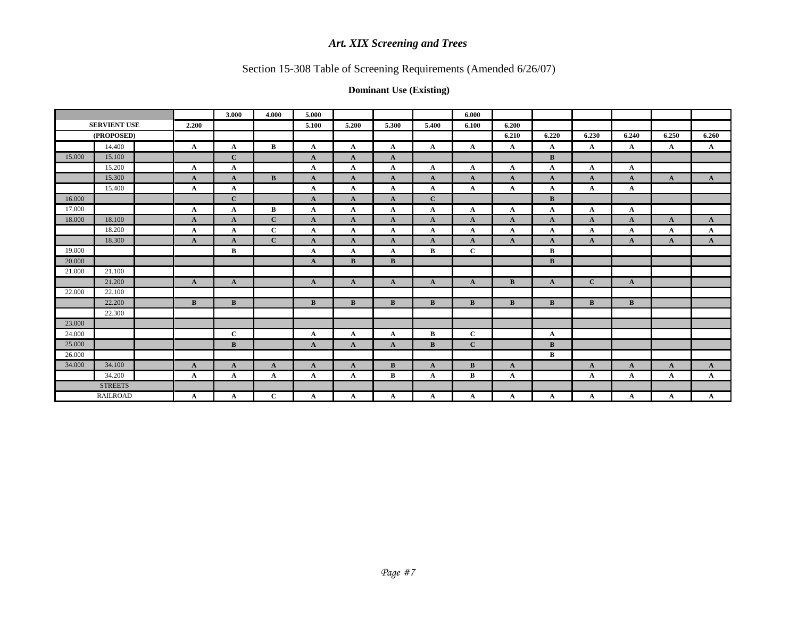# Section 15-308 Table of Screening Requirements (Amended 6/26/07)

|        |                     |              | 3.000        | 4.000        | 5.000        |              |              |              | 6.000        |              |              |              |              |              |              |
|--------|---------------------|--------------|--------------|--------------|--------------|--------------|--------------|--------------|--------------|--------------|--------------|--------------|--------------|--------------|--------------|
|        | <b>SERVIENT USE</b> | 2.200        |              |              | 5.100        | 5.200        | 5.300        | 5.400        | 6.100        | 6.200        |              |              |              |              |              |
|        | (PROPOSED)          |              |              |              |              |              |              |              |              | 6.210        | 6.220        | 6.230        | 6.240        | 6.250        | 6.260        |
|        | 14.400              | $\mathbf{A}$ | $\mathbf{A}$ | B            | $\mathbf{A}$ | $\mathbf{A}$ | A            | $\mathbf{A}$ | $\mathbf{A}$ | $\mathbf{A}$ | $\mathbf{A}$ | A            | $\mathbf{A}$ | $\mathbf{A}$ | $\mathbf{A}$ |
| 15.000 | 15.100              |              | $\mathbf{C}$ |              | $\mathbf{A}$ | $\mathbf{A}$ | $\mathbf{A}$ |              |              |              | B            |              |              |              |              |
|        | 15.200              | $\mathbf{A}$ | $\mathbf{A}$ |              | A            | $\mathbf{A}$ | A            | $\mathbf{A}$ | $\mathbf A$  | $\mathbf{A}$ | $\mathbf{A}$ | $\mathbf A$  | $\mathbf{A}$ |              |              |
|        | 15.300              | $\mathbf{A}$ | $\mathbf{A}$ | B            | $\mathbf{A}$ | $\mathbf{A}$ | A            | $\mathbf{A}$ | $\mathbf{A}$ | $\mathbf{A}$ | $\mathbf{A}$ | $\mathbf{A}$ | $\mathbf{A}$ | $\mathbf{A}$ | $\mathbf{A}$ |
|        | 15.400              | $\mathbf A$  | $\mathbf{A}$ |              | A            | $\mathbf{A}$ | A            | $\mathbf{A}$ | $\mathbf{A}$ | A            | $\mathbf{A}$ | A            | $\mathbf{A}$ |              |              |
| 16.000 |                     |              | $\mathbf{C}$ |              | $\mathbf{A}$ | $\mathbf{A}$ | $\mathbf{A}$ | $\mathbf{C}$ |              |              | B            |              |              |              |              |
| 17.000 |                     | $\mathbf{A}$ | $\mathbf{A}$ | B            | $\mathbf{A}$ | $\mathbf{A}$ | $\mathbf A$  | $\mathbf{A}$ | $\mathbf A$  | $\mathbf{A}$ | $\mathbf{A}$ | $\mathbf A$  | $\mathbf{A}$ |              |              |
| 18.000 | 18.100              | $\mathbf{A}$ | $\mathbf{A}$ | $\mathbf{C}$ | $\mathbf{A}$ | $\mathbf{A}$ | $\mathbf{A}$ | $\mathbf{A}$ | $\mathbf{A}$ | $\mathbf{A}$ | $\mathbf{A}$ | $\mathbf{A}$ | $\mathbf{A}$ | $\mathbf{A}$ | $\mathbf{A}$ |
|        | 18.200              | $\mathbf{A}$ | $\mathbf{A}$ | $\mathbf C$  | $\mathbf{A}$ | $\mathbf{A}$ | A            | $\mathbf{A}$ | $\mathbf{A}$ | $\mathbf{A}$ | $\mathbf{A}$ | A            | $\mathbf{A}$ | $\mathbf{A}$ | $\mathbf{A}$ |
|        | 18.300              | $\mathbf{A}$ | $\mathbf{A}$ | $\mathbf{C}$ | $\mathbf{A}$ | $\mathbf{A}$ | A            | $\mathbf{A}$ | $\mathbf{A}$ | $\mathbf{A}$ | $\mathbf{A}$ | A            | $\mathbf{A}$ | $\mathbf{A}$ | $\mathbf{A}$ |
| 19.000 |                     |              | $\, {\bf B}$ |              | A            | $\mathbf{A}$ | A            | B            | $\mathbf C$  |              | $\bf{B}$     |              |              |              |              |
| 20.000 |                     |              |              |              | $\mathbf{A}$ | $\mathbf{B}$ | $\, {\bf B}$ |              |              |              | B            |              |              |              |              |
| 21.000 | 21.100              |              |              |              |              |              |              |              |              |              |              |              |              |              |              |
|        | 21.200              | $\mathbf{A}$ | $\mathbf{A}$ |              | $\mathbf{A}$ | $\mathbf{A}$ | $\mathbf{A}$ | $\mathbf{A}$ | $\mathbf{A}$ | $\mathbf{B}$ | $\mathbf{A}$ | $\mathbf{C}$ | $\mathbf{A}$ |              |              |
| 22.000 | 22.100              |              |              |              |              |              |              |              |              |              |              |              |              |              |              |
|        | 22.200              | $\bf{B}$     | B            |              | $\bf{B}$     | B            | $\bf{B}$     | $\bf{B}$     | $\bf{B}$     | $\bf{B}$     | B            | $\bf{B}$     | $\bf{B}$     |              |              |
|        | 22.300              |              |              |              |              |              |              |              |              |              |              |              |              |              |              |
| 23.000 |                     |              |              |              |              |              |              |              |              |              |              |              |              |              |              |
| 24.000 |                     |              | $\mathbf C$  |              | $\mathbf{A}$ | $\mathbf{A}$ | A            | $\bf{B}$     | $\mathbf{C}$ |              | $\mathbf{A}$ |              |              |              |              |
| 25.000 |                     |              | $\bf{B}$     |              | $\mathbf{A}$ | $\mathbf{A}$ | $\mathbf{A}$ | $\bf{B}$     | $\mathbf{C}$ |              | B            |              |              |              |              |
| 26.000 |                     |              |              |              |              |              |              |              |              |              | $\bf{B}$     |              |              |              |              |
| 34.000 | 34.100              | $\mathbf{A}$ | $\mathbf{A}$ | $\mathbf{A}$ | $\mathbf{A}$ | $\mathbf{A}$ | $\bf{B}$     | $\mathbf{A}$ | $\bf{B}$     | $\mathbf{A}$ |              | $\mathbf{A}$ | $\mathbf{A}$ | $\mathbf{A}$ | $\mathbf{A}$ |
|        | 34.200              | $\mathbf A$  | $\mathbf{A}$ | $\mathbf{A}$ | $\mathbf{A}$ | $\mathbf{A}$ | $\bf{B}$     | $\mathbf{A}$ | B            | $\mathbf{A}$ |              | $\mathbf A$  | A            | A            | $\mathbf{A}$ |
|        | <b>STREETS</b>      |              |              |              |              |              |              |              |              |              |              |              |              |              |              |
|        | <b>RAILROAD</b>     | $\mathbf A$  | $\mathbf{A}$ | $\mathbf C$  | $\mathbf{A}$ | $\mathbf A$  | $\mathbf A$  | A            | $\mathbf A$  | A            | $\mathbf{A}$ | $\mathbf A$  | A            | A            | $\mathbf{A}$ |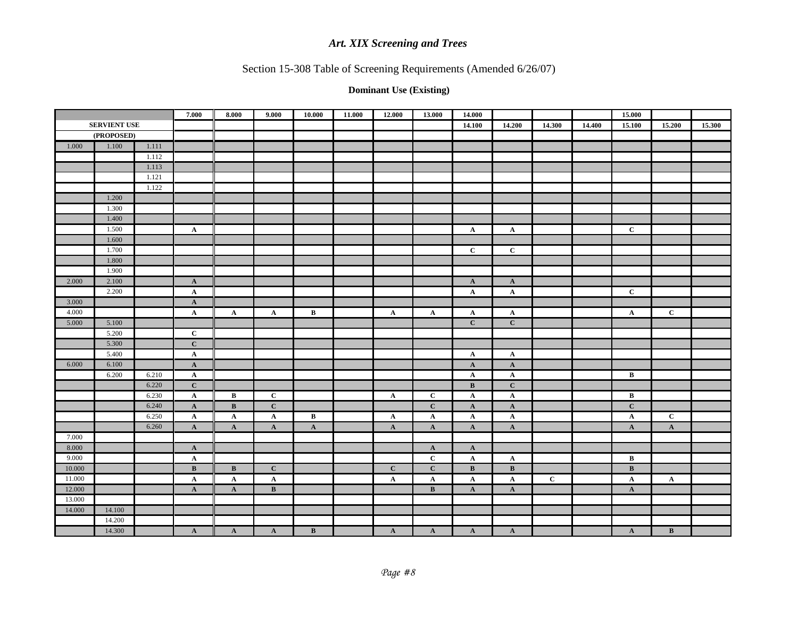# Section 15-308 Table of Screening Requirements (Amended 6/26/07)

|                  |                     |       | 7.000        | 8.000        | 9.000                           | 10.000          | 11.000 | 12.000         | 13.000       | 14.000          |                 |             |        | 15.000                  |              |        |
|------------------|---------------------|-------|--------------|--------------|---------------------------------|-----------------|--------|----------------|--------------|-----------------|-----------------|-------------|--------|-------------------------|--------------|--------|
|                  | <b>SERVIENT USE</b> |       |              |              |                                 |                 |        |                |              | 14.100          | 14.200          | 14.300      | 14.400 | 15.100                  | 15.200       | 15.300 |
|                  | (PROPOSED)          |       |              |              |                                 |                 |        |                |              |                 |                 |             |        |                         |              |        |
| 1.000            | 1.100               | 1.111 |              |              |                                 |                 |        |                |              |                 |                 |             |        |                         |              |        |
|                  |                     | 1.112 |              |              |                                 |                 |        |                |              |                 |                 |             |        |                         |              |        |
|                  |                     | 1.113 |              |              |                                 |                 |        |                |              |                 |                 |             |        |                         |              |        |
|                  |                     | 1.121 |              |              |                                 |                 |        |                |              |                 |                 |             |        |                         |              |        |
|                  |                     | 1.122 |              |              |                                 |                 |        |                |              |                 |                 |             |        |                         |              |        |
|                  | 1.200               |       |              |              |                                 |                 |        |                |              |                 |                 |             |        |                         |              |        |
|                  | 1.300               |       |              |              |                                 |                 |        |                |              |                 |                 |             |        |                         |              |        |
|                  | 1.400               |       |              |              |                                 |                 |        |                |              |                 |                 |             |        |                         |              |        |
|                  | 1.500               |       | $\mathbf{A}$ |              |                                 |                 |        |                |              | $\mathbf{A}$    | $\mathbf{A}$    |             |        | $\mathbf C$             |              |        |
|                  | 1.600               |       |              |              |                                 |                 |        |                |              |                 |                 |             |        |                         |              |        |
|                  | 1.700               |       |              |              |                                 |                 |        |                |              | $\mathbf C$     | $\mathbf{C}$    |             |        |                         |              |        |
|                  | 1.800               |       |              |              |                                 |                 |        |                |              |                 |                 |             |        |                         |              |        |
|                  | 1.900               |       |              |              |                                 |                 |        |                |              |                 |                 |             |        |                         |              |        |
| 2.000            | 2.100               |       | $\mathbf A$  |              |                                 |                 |        |                |              | $\mathbf{A}$    | $\mathbf{A}$    |             |        |                         |              |        |
|                  | 2.200               |       | $\mathbf A$  |              |                                 |                 |        |                |              | $\mathbf{A}$    | $\mathbf{A}$    |             |        | $\mathbf C$             |              |        |
| 3.000            |                     |       | $\mathbf{A}$ |              |                                 |                 |        |                |              |                 |                 |             |        |                         |              |        |
| 4.000            |                     |       | $\mathbf{A}$ | $\mathbf{A}$ | $\mathbf{A}$                    | $\bf{B}$        |        | $\mathbf{A}$   | $\mathbf{A}$ | $\mathbf{A}$    | $\mathbf{A}$    |             |        | $\mathbf{A}$            | $\mathbf{C}$ |        |
| 5.000            | 5.100               |       |              |              |                                 |                 |        |                |              | $\mathbf C$     | $\mathbf{C}$    |             |        |                         |              |        |
|                  | 5.200               |       | $\mathbf C$  |              |                                 |                 |        |                |              |                 |                 |             |        |                         |              |        |
|                  | 5.300               |       | $\mathbf C$  |              |                                 |                 |        |                |              |                 |                 |             |        |                         |              |        |
|                  | 5.400               |       | $\mathbf A$  |              |                                 |                 |        |                |              | $\mathbf{A}$    | $\mathbf{A}$    |             |        |                         |              |        |
| 6.000            | 6.100               |       | $\mathbf{A}$ |              |                                 |                 |        |                |              | $\mathbf{A}$    | $\mathbf{A}$    |             |        |                         |              |        |
|                  | 6.200               | 6.210 | $\mathbf{A}$ |              |                                 |                 |        |                |              | $\mathbf{A}$    | $\mathbf{A}$    |             |        | $\, {\bf B} \,$         |              |        |
|                  |                     | 6.220 | $\mathbf C$  |              |                                 |                 |        |                |              | $\, {\bf B}$    | $\mathbf{C}$    |             |        |                         |              |        |
|                  |                     | 6.230 | $\mathbf{A}$ | $\bf{B}$     | $\mathbf C$                     |                 |        | $\mathbf{A}$   | $\mathbf C$  | $\mathbf{A}$    | $\mathbf{A}$    |             |        | $\, {\bf B} \,$         |              |        |
|                  |                     | 6.240 | $\mathbf{A}$ | $\bf{B}$     | $\mathbf C$                     |                 |        |                | $\mathbf{C}$ | $\mathbf{A}$    | $\mathbf{A}$    |             |        | $\mathbf C$             |              |        |
|                  |                     | 6.250 | $\mathbf{A}$ | $\mathbf{A}$ | $\mathbf{A}$                    | $\bf{B}$        |        | $\mathbf{A}$   | $\mathbf{A}$ | $\mathbf{A}$    | $\mathbf{A}$    |             |        | $\mathbf{A}$            | $\mathbf C$  |        |
|                  |                     | 6.260 | $\mathbf{A}$ | $\mathbf{A}$ | $\mathbf{A}$                    | $\mathbf{A}$    |        | $\mathbf{A}$   | $\mathbf{A}$ | $\mathbf{A}$    | $\mathbf{A}$    |             |        | $\mathbf{A}$            | $\mathbf A$  |        |
| 7.000            |                     |       |              |              |                                 |                 |        |                |              |                 |                 |             |        |                         |              |        |
| 8.000            |                     |       | $\mathbf{A}$ |              |                                 |                 |        |                | $\mathbf{A}$ | $\mathbf{A}$    |                 |             |        |                         |              |        |
| 9.000<br>10.000  |                     |       | ${\bf A}$    |              |                                 |                 |        |                | $\mathbf C$  | $\mathbf{A}$    | $\mathbf{A}$    |             |        | $\, {\bf B} \,$         |              |        |
|                  |                     |       | $\, {\bf B}$ | $\mathbf{B}$ | $\mathbf C$                     |                 |        | $\overline{c}$ | $\mathbf C$  | $\, {\bf B} \,$ | $\, {\bf B} \,$ | $\mathbf C$ |        | $\overline{\mathbf{B}}$ |              |        |
| 11.000<br>12.000 |                     |       | $\mathbf{A}$ | $\mathbf{A}$ | $\mathbf{A}$<br>$\, {\bf B} \,$ |                 |        | $\mathbf A$    | $\mathbf A$  | $\mathbf{A}$    | $\mathbf{A}$    |             |        | $\mathbf{A}$            | $\mathbf{A}$ |        |
| 13.000           |                     |       | $\mathbf{A}$ | $\mathbf{A}$ |                                 |                 |        |                | $\bf{B}$     | $\mathbf{A}$    | ${\bf A}$       |             |        | $\mathbf{A}$            |              |        |
| 14.000           | 14.100              |       |              |              |                                 |                 |        |                |              |                 |                 |             |        |                         |              |        |
|                  | 14.200              |       |              |              |                                 |                 |        |                |              |                 |                 |             |        |                         |              |        |
|                  | 14.300              |       | $\mathbf A$  | $\mathbf A$  | ${\bf A}$                       | $\, {\bf B} \,$ |        | $\mathbf A$    | ${\bf A}$    | $\mathbf A$     | $\mathbf{A}$    |             |        | ${\bf A}$               | $\, {\bf B}$ |        |
|                  |                     |       |              |              |                                 |                 |        |                |              |                 |                 |             |        |                         |              |        |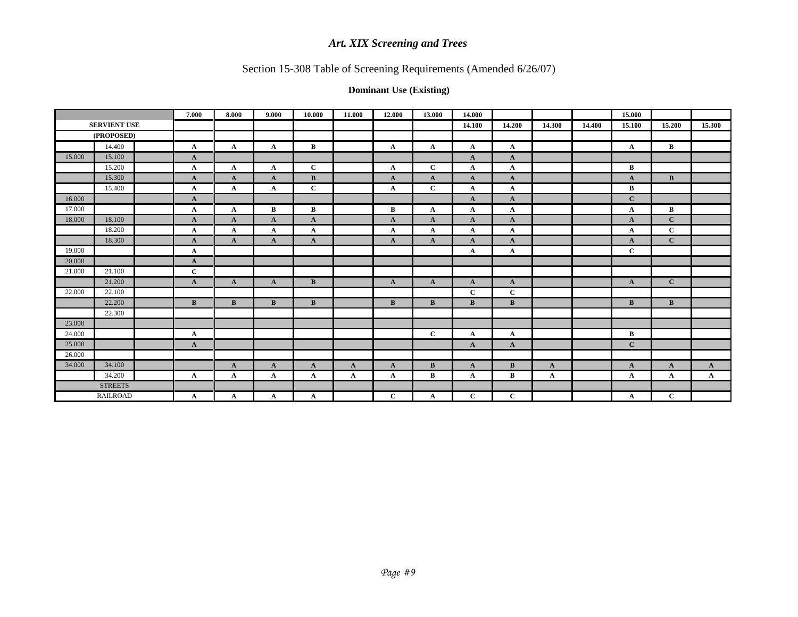# Section 15-308 Table of Screening Requirements (Amended 6/26/07)

|        |                     | 7.000        | 8.000        | 9.000        | 10.000       | 11.000       | 12.000       | 13.000       | 14.000       |              |              |        | 15.000       |              |              |
|--------|---------------------|--------------|--------------|--------------|--------------|--------------|--------------|--------------|--------------|--------------|--------------|--------|--------------|--------------|--------------|
|        | <b>SERVIENT USE</b> |              |              |              |              |              |              |              | 14.100       | 14.200       | 14.300       | 14.400 | 15.100       | 15.200       | 15.300       |
|        | (PROPOSED)          |              |              |              |              |              |              |              |              |              |              |        |              |              |              |
|        | 14.400              | $\mathbf{A}$ | $\mathbf{A}$ | $\mathbf A$  | $\bf{B}$     |              | $\mathbf{A}$ | $\mathbf{A}$ | $\mathbf{A}$ | $\mathbf{A}$ |              |        | $\mathbf{A}$ | $\bf{B}$     |              |
| 15.000 | 15.100              | $\mathbf{A}$ |              |              |              |              |              |              | $\mathbf{A}$ | $\mathbf{A}$ |              |        |              |              |              |
|        | 15.200              | $\mathbf{A}$ | $\mathbf{A}$ | $\mathbf{A}$ | $\bf C$      |              | $\mathbf{A}$ | $\mathbf C$  | $\mathbf{A}$ | $\mathbf{A}$ |              |        | B            |              |              |
|        | 15.300              | $\mathbf{A}$ | $\mathbf{A}$ | $\mathbf{A}$ | B            |              | $\mathbf{A}$ | $\mathbf{A}$ | $\mathbf{A}$ | $\mathbf{A}$ |              |        | $\mathbf A$  | B            |              |
|        | 15.400              | $\mathbf{A}$ | $\mathbf{A}$ | A            | $\mathbf C$  |              | $\mathbf{A}$ | $\mathbf C$  | $\mathbf{A}$ | $\mathbf{A}$ |              |        | B            |              |              |
| 16.000 |                     | $\mathbf{A}$ |              |              |              |              |              |              | $\mathbf{A}$ | $\mathbf{A}$ |              |        | $\mathbf{C}$ |              |              |
| 17.000 |                     | $\mathbf{A}$ | $\mathbf{A}$ | $\, {\bf B}$ | $\bf{B}$     |              | $\bf{B}$     | $\mathbf{A}$ | $\mathbf{A}$ | $\mathbf{A}$ |              |        | A            | $\bf{B}$     |              |
| 18.000 | 18.100              | $\mathbf{A}$ | $\mathbf{A}$ | $\mathbf A$  | $\mathbf{A}$ |              | A            | A            | $\mathbf{A}$ | $\mathbf{A}$ |              |        | A            | $\mathbf C$  |              |
|        | 18.200              | $\mathbf{A}$ | $\mathbf{A}$ | A            | $\mathbf{A}$ |              | $\mathbf{A}$ | $\mathbf{A}$ | $\mathbf{A}$ | $\mathbf{A}$ |              |        | A            | $\mathbf{C}$ |              |
|        | 18.300              | $\mathbf{A}$ | $\mathbf{A}$ | $\mathbf{A}$ | $\mathbf{A}$ |              | $\mathbf{A}$ | $\mathbf{A}$ | $\mathbf{A}$ | $\mathbf{A}$ |              |        | $\mathbf A$  | $\mathbf C$  |              |
| 19.000 |                     | $\mathbf{A}$ |              |              |              |              |              |              | $\mathbf{A}$ | $\mathbf{A}$ |              |        | $\mathbf C$  |              |              |
| 20.000 |                     | $\mathbf{A}$ |              |              |              |              |              |              |              |              |              |        |              |              |              |
| 21.000 | 21.100              | $\mathbf{C}$ |              |              |              |              |              |              |              |              |              |        |              |              |              |
|        | 21.200              | $\mathbf{A}$ | $\mathbf{A}$ | $\mathbf{A}$ | B            |              | $\mathbf{A}$ | $\mathbf{A}$ | $\mathbf{A}$ | $\mathbf{A}$ |              |        | $\mathbf{A}$ | $\mathbf C$  |              |
| 22.000 | 22.100              |              |              |              |              |              |              |              | $\mathbf{C}$ | $\mathbf{C}$ |              |        |              |              |              |
|        | 22.200              | $\mathbf{B}$ | B            | $\bf{B}$     | B            |              | B            | B            | B            | B            |              |        | B            | B            |              |
|        | 22.300              |              |              |              |              |              |              |              |              |              |              |        |              |              |              |
| 23.000 |                     |              |              |              |              |              |              |              |              |              |              |        |              |              |              |
| 24.000 |                     | $\mathbf{A}$ |              |              |              |              |              | $\mathbf C$  | $\mathbf{A}$ | $\mathbf{A}$ |              |        | $\bf{B}$     |              |              |
| 25.000 |                     | $\mathbf{A}$ |              |              |              |              |              |              | $\mathbf{A}$ | $\mathbf{A}$ |              |        | $\mathbf{C}$ |              |              |
| 26.000 |                     |              |              |              |              |              |              |              |              |              |              |        |              |              |              |
| 34.000 | 34.100              |              | $\mathbf{A}$ | $\mathbf{A}$ | $\mathbf{A}$ | $\mathbf{A}$ | $\mathbf{A}$ | $\bf{B}$     | $\mathbf{A}$ | <sub>B</sub> | $\mathbf{A}$ |        | $\mathbf A$  | $\mathbf{A}$ | $\mathbf{A}$ |
|        | 34.200              | $\mathbf{A}$ | $\mathbf A$  | $\mathbf A$  | $\mathbf{A}$ | $\mathbf A$  | $\mathbf{A}$ | $\bf{B}$     | $\mathbf{A}$ | $\bf{B}$     | $\mathbf{A}$ |        | $\mathbf A$  | $\mathbf{A}$ | $\mathbf{A}$ |
|        | <b>STREETS</b>      |              |              |              |              |              |              |              |              |              |              |        |              |              |              |
|        | <b>RAILROAD</b>     | $\mathbf{A}$ | A            | A            | A            |              | $\mathbf C$  | A            | $\mathbf C$  | $\mathbf C$  |              |        | A            | $\mathbf C$  |              |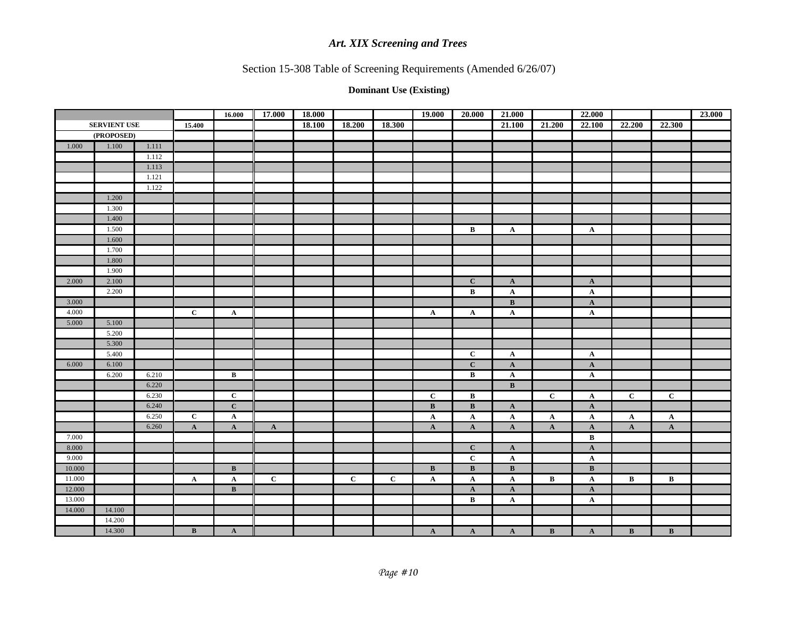# Section 15-308 Table of Screening Requirements (Amended 6/26/07)

|        |                     |       |                 | 16.000          | 17.000       | 18.000 |              |              | 19.000                  | 20.000       | 21.000                  |                | 22.000          |                 |              | 23.000 |
|--------|---------------------|-------|-----------------|-----------------|--------------|--------|--------------|--------------|-------------------------|--------------|-------------------------|----------------|-----------------|-----------------|--------------|--------|
|        | <b>SERVIENT USE</b> |       | 15.400          |                 |              | 18.100 | 18.200       | 18.300       |                         |              | 21.100                  | 21.200         | 22.100          | 22.200          | 22.300       |        |
|        | (PROPOSED)          |       |                 |                 |              |        |              |              |                         |              |                         |                |                 |                 |              |        |
| 1.000  | 1.100               | 1.111 |                 |                 |              |        |              |              |                         |              |                         |                |                 |                 |              |        |
|        |                     | 1.112 |                 |                 |              |        |              |              |                         |              |                         |                |                 |                 |              |        |
|        |                     | 1.113 |                 |                 |              |        |              |              |                         |              |                         |                |                 |                 |              |        |
|        |                     | 1.121 |                 |                 |              |        |              |              |                         |              |                         |                |                 |                 |              |        |
|        |                     | 1.122 |                 |                 |              |        |              |              |                         |              |                         |                |                 |                 |              |        |
|        | 1.200               |       |                 |                 |              |        |              |              |                         |              |                         |                |                 |                 |              |        |
|        | 1.300               |       |                 |                 |              |        |              |              |                         |              |                         |                |                 |                 |              |        |
|        | 1.400               |       |                 |                 |              |        |              |              |                         |              |                         |                |                 |                 |              |        |
|        | 1.500               |       |                 |                 |              |        |              |              |                         | $\, {\bf B}$ | $\mathbf{A}$            |                | $\mathbf{A}$    |                 |              |        |
|        | 1.600               |       |                 |                 |              |        |              |              |                         |              |                         |                |                 |                 |              |        |
|        | 1.700               |       |                 |                 |              |        |              |              |                         |              |                         |                |                 |                 |              |        |
|        | 1.800               |       |                 |                 |              |        |              |              |                         |              |                         |                |                 |                 |              |        |
|        | 1.900               |       |                 |                 |              |        |              |              |                         |              |                         |                |                 |                 |              |        |
| 2.000  | 2.100               |       |                 |                 |              |        |              |              |                         | $\mathbf C$  | $\mathbf{A}$            |                | $\mathbf{A}$    |                 |              |        |
|        | 2.200               |       |                 |                 |              |        |              |              |                         | $\, {\bf B}$ | $\mathbf{A}$            |                | $\mathbf A$     |                 |              |        |
| 3.000  |                     |       |                 |                 |              |        |              |              |                         |              | $\mathbf{B}$            |                | $\mathbf{A}$    |                 |              |        |
| 4.000  |                     |       | $\mathbf C$     | $\mathbf{A}$    |              |        |              |              | $\mathbf{A}$            | $\mathbf{A}$ | $\mathbf{A}$            |                | $\mathbf{A}$    |                 |              |        |
| 5.000  | 5.100               |       |                 |                 |              |        |              |              |                         |              |                         |                |                 |                 |              |        |
|        | 5.200               |       |                 |                 |              |        |              |              |                         |              |                         |                |                 |                 |              |        |
|        | 5.300               |       |                 |                 |              |        |              |              |                         |              |                         |                |                 |                 |              |        |
|        | 5.400               |       |                 |                 |              |        |              |              |                         | $\mathbf C$  | ${\bf A}$               |                | $\mathbf{A}$    |                 |              |        |
| 6.000  | 6.100               |       |                 |                 |              |        |              |              |                         | $\mathbf C$  | $\mathbf{A}$            |                | $\mathbf{A}$    |                 |              |        |
|        | 6.200               | 6.210 |                 | $\, {\bf B}$    |              |        |              |              |                         | $\, {\bf B}$ | $\mathbf{A}$            |                | $\mathbf{A}$    |                 |              |        |
|        |                     | 6.220 |                 |                 |              |        |              |              |                         |              | $\mathbf{B}$            |                |                 |                 |              |        |
|        |                     | 6.230 |                 | $\mathbf C$     |              |        |              |              | $\mathbf C$             | $\, {\bf B}$ |                         | $\overline{c}$ | $\mathbf A$     | $\overline{c}$  | $\mathbf C$  |        |
|        |                     | 6.240 |                 | $\mathbf{C}$    |              |        |              |              | $\, {\bf B}$            | $\bf{B}$     | $\mathbf{A}$            |                | $\mathbf{A}$    |                 |              |        |
|        |                     | 6.250 | $\mathbf C$     | $\mathbf{A}$    |              |        |              |              | $\mathbf A$             | $\mathbf{A}$ | $\mathbf{A}$            | $\mathbf{A}$   | $\mathbf A$     | $\mathbf{A}$    | $\mathbf{A}$ |        |
|        |                     | 6.260 | $\mathbf{A}$    | $\mathbf{A}$    | $\mathbf{A}$ |        |              |              | $\mathbf{A}$            | $\mathbf{A}$ | $\mathbf{A}$            | $\mathbf{A}$   | $\mathbf{A}$    | $\mathbf{A}$    | $\mathbf{A}$ |        |
| 7.000  |                     |       |                 |                 |              |        |              |              |                         |              |                         |                | $\bf{B}$        |                 |              |        |
| 8.000  |                     |       |                 |                 |              |        |              |              |                         | $\mathbf C$  | $\mathbf{A}$            |                | $\mathbf{A}$    |                 |              |        |
| 9.000  |                     |       |                 |                 |              |        |              |              |                         | $\mathbf C$  | ${\bf A}$               |                | $\mathbf A$     |                 |              |        |
| 10.000 |                     |       |                 | $\, {\bf B} \,$ |              |        |              |              | $\overline{\mathbf{B}}$ | $\, {\bf B}$ | $\overline{\mathbf{B}}$ |                | $\, {\bf B} \,$ |                 |              |        |
| 11.000 |                     |       | $\mathbf{A}$    | $\mathbf{A}$    | $\mathbf C$  |        | $\mathbf{C}$ | $\mathbf{C}$ | $\mathbf{A}$            | $\mathbf{A}$ | $\mathbf{A}$            | B              | $\mathbf{A}$    | $\bf{B}$        | $\, {\bf B}$ |        |
| 12.000 |                     |       |                 | $\bf{B}$        |              |        |              |              |                         | $\mathbf{A}$ | $\mathbf{A}$            |                | $\mathbf{A}$    |                 |              |        |
| 13.000 |                     |       |                 |                 |              |        |              |              |                         | $\, {\bf B}$ | $\mathbf{A}$            |                | $\mathbf{A}$    |                 |              |        |
| 14.000 | 14.100              |       |                 |                 |              |        |              |              |                         |              |                         |                |                 |                 |              |        |
|        | 14.200              |       |                 |                 |              |        |              |              |                         |              |                         |                |                 |                 |              |        |
|        | 14.300              |       | $\, {\bf B} \,$ | $\mathbf{A}$    |              |        |              |              | $\mathbf{A}$            | $\mathbf{A}$ | $\mathbf{A}$            | $\, {\bf B}$   | $\mathbf{A}$    | $\, {\bf B} \,$ | $\, {\bf B}$ |        |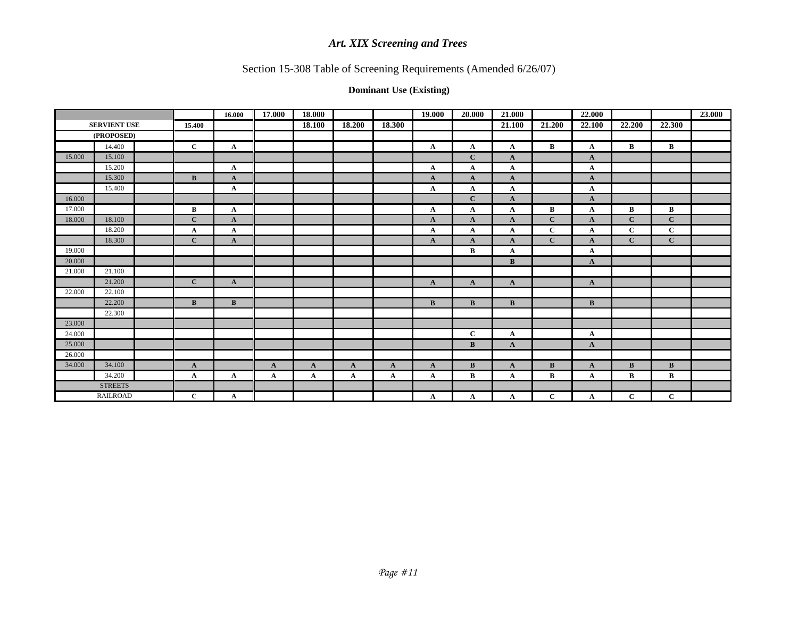# Section 15-308 Table of Screening Requirements (Amended 6/26/07)

|        |                     |              | 16.000       | 17.000       | 18.000       |              |              | 19.000       | 20.000       | 21.000       |              | 22.000       |              |              | 23.000 |
|--------|---------------------|--------------|--------------|--------------|--------------|--------------|--------------|--------------|--------------|--------------|--------------|--------------|--------------|--------------|--------|
|        | <b>SERVIENT USE</b> | 15.400       |              |              | 18.100       | 18.200       | 18.300       |              |              | 21.100       | 21.200       | 22.100       | 22.200       | 22.300       |        |
|        | (PROPOSED)          |              |              |              |              |              |              |              |              |              |              |              |              |              |        |
|        | 14.400              | $\mathbf{C}$ | $\mathbf{A}$ |              |              |              |              | $\mathbf A$  | $\mathbf{A}$ | $\mathbf{A}$ | $\, {\bf B}$ | $\mathbf A$  | $\bf{B}$     | $\bf{B}$     |        |
| 15.000 | 15.100              |              |              |              |              |              |              |              | $\mathbf C$  | $\mathbf{A}$ |              | $\mathbf{A}$ |              |              |        |
|        | 15.200              |              | $\mathbf{A}$ |              |              |              |              | A            | $\mathbf{A}$ | $\mathbf{A}$ |              | $\mathbf A$  |              |              |        |
|        | 15.300              | B            | $\mathbf{A}$ |              |              |              |              | $\mathbf{A}$ | $\mathbf{A}$ | $\mathbf{A}$ |              | $\mathbf{A}$ |              |              |        |
|        | 15.400              |              | $\mathbf{A}$ |              |              |              |              | $\mathbf{A}$ | $\mathbf{A}$ | $\mathbf{A}$ |              | $\mathbf{A}$ |              |              |        |
| 16.000 |                     |              |              |              |              |              |              |              | $\mathbf{C}$ | $\mathbf{A}$ |              | $\mathbf{A}$ |              |              |        |
| 17.000 |                     | $\mathbf{B}$ | $\mathbf{A}$ |              |              |              |              | $\mathbf A$  | $\mathbf{A}$ | $\mathbf{A}$ | $\bf{B}$     | $\mathbf A$  | $\bf{B}$     | $\, {\bf B}$ |        |
| 18.000 | 18.100              | $\mathbf{C}$ | $\mathbf{A}$ |              |              |              |              | $\mathbf{A}$ | $\mathbf{A}$ | $\mathbf{A}$ | $\mathbf{C}$ | $\mathbf{A}$ | $\mathbf{C}$ | $\mathbf C$  |        |
|        | 18.200              | $\mathbf A$  | $\mathbf{A}$ |              |              |              |              | $\mathbf A$  | $\mathbf{A}$ | $\mathbf A$  | $\mathbf{C}$ | $\mathbf A$  | $\mathbf{C}$ | $\mathbf C$  |        |
|        | 18.300              | $\mathbf{C}$ | $\mathbf{A}$ |              |              |              |              | $\mathbf{A}$ | $\mathbf{A}$ | $\mathbf{A}$ | $\mathbf{C}$ | $\mathbf{A}$ | $\mathbf{C}$ | $\mathbf C$  |        |
| 19.000 |                     |              |              |              |              |              |              |              | $\, {\bf B}$ | $\mathbf{A}$ |              | $\mathbf A$  |              |              |        |
| 20.000 |                     |              |              |              |              |              |              |              |              | B            |              | $\mathbf{A}$ |              |              |        |
| 21.000 | 21.100              |              |              |              |              |              |              |              |              |              |              |              |              |              |        |
|        | 21.200              | $\mathbf{C}$ | $\mathbf{A}$ |              |              |              |              | $\mathbf{A}$ | $\mathbf{A}$ | $\mathbf{A}$ |              | $\mathbf{A}$ |              |              |        |
| 22.000 | 22.100              |              |              |              |              |              |              |              |              |              |              |              |              |              |        |
|        | 22.200              | $\mathbf{B}$ | $\bf{B}$     |              |              |              |              | B            | B            | B            |              | $\, {\bf B}$ |              |              |        |
|        | 22.300              |              |              |              |              |              |              |              |              |              |              |              |              |              |        |
| 23.000 |                     |              |              |              |              |              |              |              |              |              |              |              |              |              |        |
| 24.000 |                     |              |              |              |              |              |              |              | $\mathbf C$  | $\mathbf{A}$ |              | $\mathbf A$  |              |              |        |
| 25.000 |                     |              |              |              |              |              |              |              | $\mathbf B$  | $\mathbf{A}$ |              | $\mathbf{A}$ |              |              |        |
| 26.000 |                     |              |              |              |              |              |              |              |              |              |              |              |              |              |        |
| 34.000 | 34.100              | $\mathbf{A}$ |              | $\mathbf{A}$ | $\mathbf{A}$ | $\mathbf{A}$ | $\mathbf{A}$ | $\mathbf{A}$ | $\mathbf B$  | $\mathbf{A}$ | $\bf{B}$     | $\mathbf{A}$ | $\bf{B}$     | $\bf{B}$     |        |
|        | 34.200              | $\mathbf{A}$ | $\mathbf{A}$ | $\mathbf A$  | $\mathbf{A}$ | $\mathbf A$  | $\mathbf{A}$ | $\mathbf{A}$ | $\mathbf{B}$ | $\mathbf{A}$ | $\bf{B}$     | $\mathbf A$  | B            | $\bf{B}$     |        |
|        | <b>STREETS</b>      |              |              |              |              |              |              |              |              |              |              |              |              |              |        |
|        | <b>RAILROAD</b>     | $\mathbf{C}$ | A            |              |              |              |              | A            | $\mathbf A$  | A            | $\mathbf{C}$ | A            | $\mathbf{C}$ | $\mathbf C$  |        |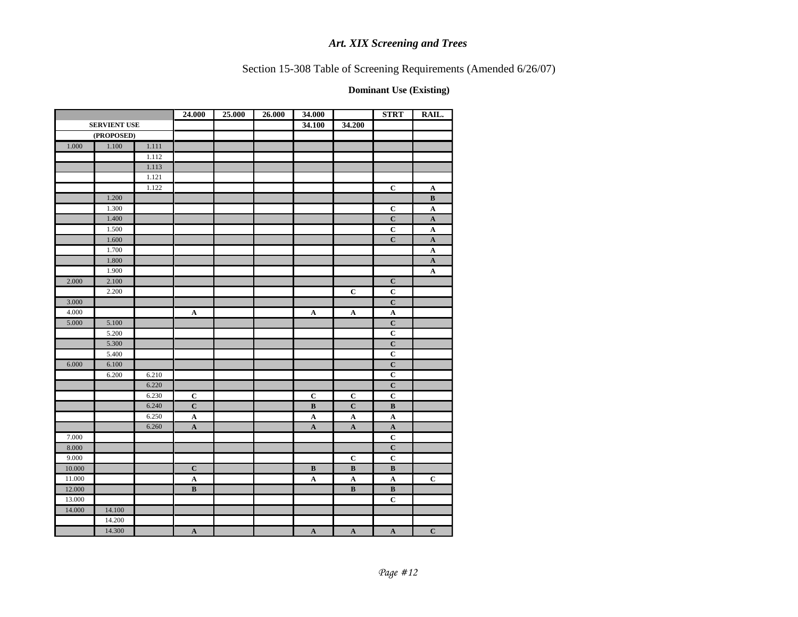Section 15-308 Table of Screening Requirements (Amended 6/26/07)

|        |                     |       | 24.000       | 25.000 | 26.000 | 34.000       |                      | <b>STRT</b>             | RAIL.                 |
|--------|---------------------|-------|--------------|--------|--------|--------------|----------------------|-------------------------|-----------------------|
|        | <b>SERVIENT USE</b> |       |              |        |        | 34.100       | 34.200               |                         |                       |
|        | (PROPOSED)          |       |              |        |        |              |                      |                         |                       |
| 1.000  | $1.100\,$           | 1.111 |              |        |        |              |                      |                         |                       |
|        |                     | 1.112 |              |        |        |              |                      |                         |                       |
|        |                     | 1.113 |              |        |        |              |                      |                         |                       |
|        |                     | 1.121 |              |        |        |              |                      |                         |                       |
|        |                     | 1.122 |              |        |        |              |                      | $\overline{c}$          | $\mathbf{A}$          |
|        | 1.200               |       |              |        |        |              |                      |                         | $\bf{B}$              |
|        | 1.300               |       |              |        |        |              |                      | $\mathbf C$             | $\mathbf{A}$          |
|        | 1.400               |       |              |        |        |              |                      | $\mathbf C$             | $\mathbf{A}$          |
|        | 1.500               |       |              |        |        |              |                      | $\mathbf C$             | $\boldsymbol{\rm{A}}$ |
|        | 1.600               |       |              |        |        |              |                      | $\overline{\mathbf{C}}$ | ${\bf A}$             |
|        | 1.700               |       |              |        |        |              |                      |                         | $\boldsymbol{\rm{A}}$ |
|        | 1.800               |       |              |        |        |              |                      |                         | $\mathbf{A}$          |
|        | 1.900               |       |              |        |        |              |                      |                         | ${\bf A}$             |
| 2.000  | 2.100               |       |              |        |        |              |                      | $\mathbf C$             |                       |
|        | 2.200               |       |              |        |        |              | $\mathbf C$          | $\overline{c}$          |                       |
| 3.000  |                     |       |              |        |        |              |                      | $\mathbf C$             |                       |
| 4.000  |                     |       | $\mathbf A$  |        |        | $\mathbf A$  | ${\bf A}$            | $\mathbf A$             |                       |
| 5.000  | 5.100               |       |              |        |        |              |                      | $\mathbf C$             |                       |
|        | 5.200               |       |              |        |        |              |                      | $\mathbf C$             |                       |
|        | 5.300               |       |              |        |        |              |                      | $\overline{C}$          |                       |
|        | 5.400               |       |              |        |        |              |                      | $\mathbf C$             |                       |
| 6.000  | 6.100               |       |              |        |        |              |                      | $\mathbf C$             |                       |
|        | 6.200               | 6.210 |              |        |        |              |                      | $\mathbf C$             |                       |
|        |                     | 6.220 |              |        |        |              |                      | $\mathbf C$             |                       |
|        |                     | 6.230 | $\bf C$      |        |        | $\mathbf C$  | $\mathbf C$          | $\mathbf C$             |                       |
|        |                     | 6.240 | $\mathbf C$  |        |        | $\, {\bf B}$ | $\mathbf C$          | $\, {\bf B}$            |                       |
|        |                     | 6.250 | $\mathbf A$  |        |        | $\mathbf A$  | $\boldsymbol{\rm A}$ | $\mathbf A$             |                       |
|        |                     | 6.260 | $\mathbf A$  |        |        | $\mathbf A$  | ${\bf A}$            | $\mathbf A$             |                       |
| 7.000  |                     |       |              |        |        |              |                      | $\mathbf C$             |                       |
| 8.000  |                     |       |              |        |        |              |                      | $\mathbf C$             |                       |
| 9.000  |                     |       |              |        |        |              | $\mathbf C$          | $\mathbf C$             |                       |
| 10.000 |                     |       | $\mathbf C$  |        |        | $\, {\bf B}$ | $\, {\bf B}$         | $\, {\bf B}$            |                       |
| 11.000 |                     |       | $\mathbf A$  |        |        | $\mathbf A$  | $\mathbf A$          | $\mathbf A$             | $\bf C$               |
| 12.000 |                     |       | $\, {\bf B}$ |        |        |              | $\, {\bf B}$         | $\, {\bf B}$            |                       |
| 13.000 |                     |       |              |        |        |              |                      | $\overline{C}$          |                       |
| 14.000 | 14.100              |       |              |        |        |              |                      |                         |                       |
|        | 14.200              |       |              |        |        |              |                      |                         |                       |
|        | 14.300              |       | $\mathbf A$  |        |        | $\mathbf A$  | $\mathbf{A}$         | $\mathbf{A}$            | $\mathbf C$           |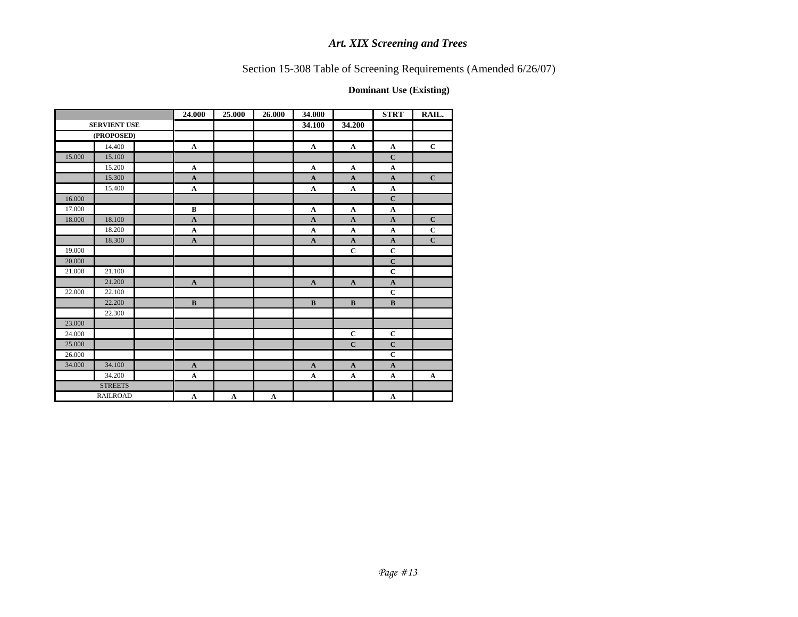# Section 15-308 Table of Screening Requirements (Amended 6/26/07)

|        |                     | 24.000       | 25.000       | 26.000       | 34.000       |              | <b>STRT</b>               | RAIL.                 |
|--------|---------------------|--------------|--------------|--------------|--------------|--------------|---------------------------|-----------------------|
|        | <b>SERVIENT USE</b> |              |              |              | 34.100       | 34.200       |                           |                       |
|        | (PROPOSED)          |              |              |              |              |              |                           |                       |
|        | 14.400              | $\mathbf A$  |              |              | $\mathbf A$  | $\mathbf A$  | $\mathbf A$               | $\mathbf C$           |
| 15.000 | 15.100              |              |              |              |              |              | $\mathbf C$               |                       |
|        | 15.200              | $\mathbf A$  |              |              | $\mathbf A$  | $\mathbf A$  | $\mathbf A$               |                       |
|        | 15.300              | $\mathbf{A}$ |              |              | $\mathbf A$  | $\mathbf{A}$ | $\mathbf{A}$              | $\mathbf C$           |
|        | 15.400              | $\mathbf A$  |              |              | $\mathbf A$  | $\mathbf{A}$ | $\boldsymbol{\mathbf{A}}$ |                       |
| 16.000 |                     |              |              |              |              |              | $\mathbf C$               |                       |
| 17.000 |                     | $\bf{B}$     |              |              | $\mathbf{A}$ | $\mathbf{A}$ | $\mathbf A$               |                       |
| 18.000 | 18.100              | $\mathbf{A}$ |              |              | $\mathbf A$  | $\mathbf{A}$ | $\mathbf{A}$              | $\mathbf C$           |
|        | 18.200              | $\mathbf A$  |              |              | $\mathbf A$  | $\mathbf A$  | $\mathbf A$               | $\mathbf C$           |
|        | 18.300              | $\mathbf{A}$ |              |              | $\mathbf A$  | $\mathbf{A}$ | $\mathbf A$               | $\mathbf C$           |
| 19.000 |                     |              |              |              |              | $\mathbf C$  | $\mathbf C$               |                       |
| 20.000 |                     |              |              |              |              |              | $\mathbf C$               |                       |
| 21.000 | 21.100              |              |              |              |              |              | $\mathbf C$               |                       |
|        | 21.200              | $\mathbf A$  |              |              | $\mathbf A$  | $\mathbf A$  | $\mathbf A$               |                       |
| 22.000 | 22.100              |              |              |              |              |              | $\mathbf C$               |                       |
|        | 22.200              | $\, {\bf B}$ |              |              | $\, {\bf B}$ | $\, {\bf B}$ | $\, {\bf B}$              |                       |
|        | 22.300              |              |              |              |              |              |                           |                       |
| 23.000 |                     |              |              |              |              |              |                           |                       |
| 24.000 |                     |              |              |              |              | $\mathbf C$  | $\mathbf C$               |                       |
| 25.000 |                     |              |              |              |              | $\mathbf C$  | $\mathbf C$               |                       |
| 26.000 |                     |              |              |              |              |              | $\mathbf C$               |                       |
| 34.000 | 34.100              | $\mathbf{A}$ |              |              | $\mathbf A$  | $\mathbf A$  | $\mathbf A$               |                       |
|        | 34.200              | $\mathbf{A}$ |              |              | $\mathbf{A}$ | $\mathbf A$  | $\mathbf A$               | $\boldsymbol{\rm{A}}$ |
|        | <b>STREETS</b>      |              |              |              |              |              |                           |                       |
|        | <b>RAILROAD</b>     | $\mathbf A$  | $\mathbf{A}$ | $\mathbf{A}$ |              |              | $\mathbf A$               |                       |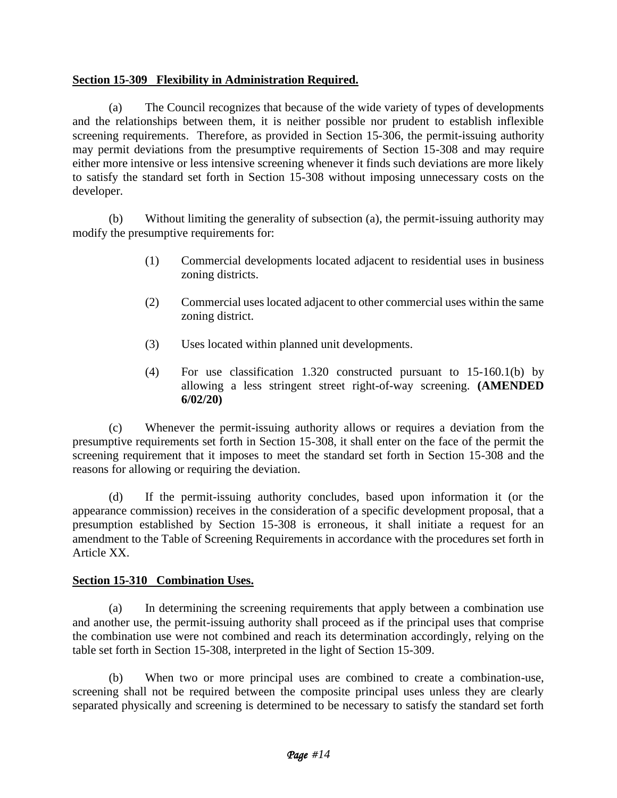## **Section 15-309 Flexibility in Administration Required.**

(a) The Council recognizes that because of the wide variety of types of developments and the relationships between them, it is neither possible nor prudent to establish inflexible screening requirements. Therefore, as provided in Section 15-306, the permit-issuing authority may permit deviations from the presumptive requirements of Section 15-308 and may require either more intensive or less intensive screening whenever it finds such deviations are more likely to satisfy the standard set forth in Section 15-308 without imposing unnecessary costs on the developer.

(b) Without limiting the generality of subsection (a), the permit-issuing authority may modify the presumptive requirements for:

- (1) Commercial developments located adjacent to residential uses in business zoning districts.
- (2) Commercial uses located adjacent to other commercial uses within the same zoning district.
- (3) Uses located within planned unit developments.
- (4) For use classification 1.320 constructed pursuant to 15-160.1(b) by allowing a less stringent street right-of-way screening. **(AMENDED 6/02/20)**

(c) Whenever the permit-issuing authority allows or requires a deviation from the presumptive requirements set forth in Section 15-308, it shall enter on the face of the permit the screening requirement that it imposes to meet the standard set forth in Section 15-308 and the reasons for allowing or requiring the deviation.

(d) If the permit-issuing authority concludes, based upon information it (or the appearance commission) receives in the consideration of a specific development proposal, that a presumption established by Section 15-308 is erroneous, it shall initiate a request for an amendment to the Table of Screening Requirements in accordance with the procedures set forth in Article XX.

## **Section 15-310 Combination Uses.**

(a) In determining the screening requirements that apply between a combination use and another use, the permit-issuing authority shall proceed as if the principal uses that comprise the combination use were not combined and reach its determination accordingly, relying on the table set forth in Section 15-308, interpreted in the light of Section 15-309.

(b) When two or more principal uses are combined to create a combination-use, screening shall not be required between the composite principal uses unless they are clearly separated physically and screening is determined to be necessary to satisfy the standard set forth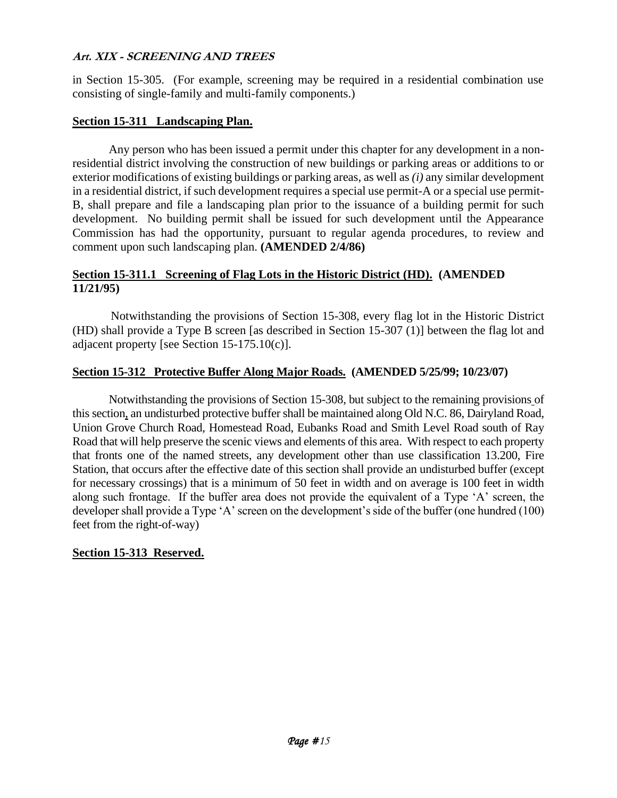in Section 15-305. (For example, screening may be required in a residential combination use consisting of single-family and multi-family components.)

### **Section 15-311 Landscaping Plan.**

Any person who has been issued a permit under this chapter for any development in a nonresidential district involving the construction of new buildings or parking areas or additions to or exterior modifications of existing buildings or parking areas, as well as *(i)* any similar development in a residential district, if such development requires a special use permit-A or a special use permit-B, shall prepare and file a landscaping plan prior to the issuance of a building permit for such development. No building permit shall be issued for such development until the Appearance Commission has had the opportunity, pursuant to regular agenda procedures, to review and comment upon such landscaping plan. **(AMENDED 2/4/86)**

#### **Section 15-311.1 Screening of Flag Lots in the Historic District (HD). (AMENDED 11/21/95)**

Notwithstanding the provisions of Section 15-308, every flag lot in the Historic District (HD) shall provide a Type B screen [as described in Section 15-307 (1)] between the flag lot and adjacent property [see Section 15-175.10(c)].

#### **Section 15-312 Protective Buffer Along Major Roads. (AMENDED 5/25/99; 10/23/07)**

Notwithstanding the provisions of Section 15-308, but subject to the remaining provisions of this section, an undisturbed protective buffer shall be maintained along Old N.C. 86, Dairyland Road, Union Grove Church Road, Homestead Road, Eubanks Road and Smith Level Road south of Ray Road that will help preserve the scenic views and elements of this area. With respect to each property that fronts one of the named streets, any development other than use classification 13.200, Fire Station, that occurs after the effective date of this section shall provide an undisturbed buffer (except for necessary crossings) that is a minimum of 50 feet in width and on average is 100 feet in width along such frontage. If the buffer area does not provide the equivalent of a Type 'A' screen, the developer shall provide a Type 'A' screen on the development's side of the buffer (one hundred (100) feet from the right-of-way)

#### **Section 15-313 Reserved.**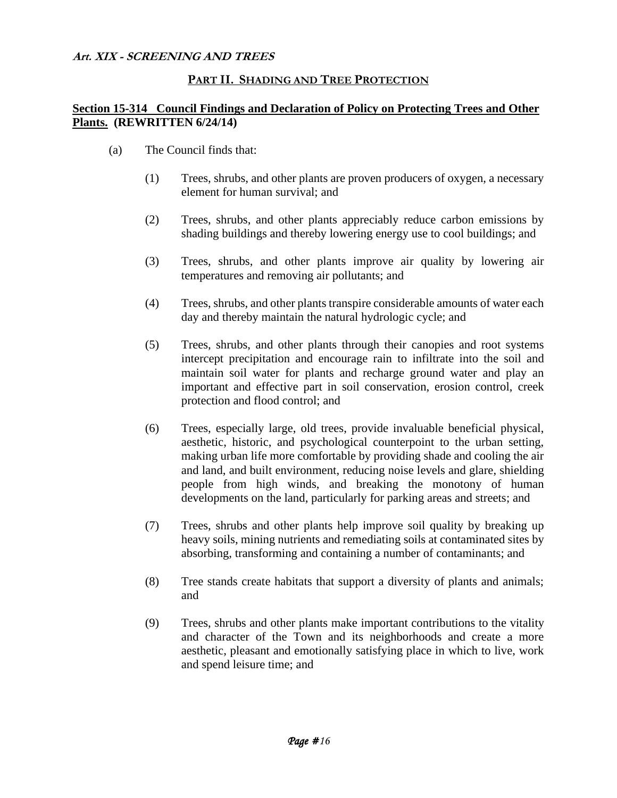#### **PART II. SHADING AND TREE PROTECTION**

### **Section 15-314 Council Findings and Declaration of Policy on Protecting Trees and Other Plants. (REWRITTEN 6/24/14)**

- (a) The Council finds that:
	- (1) Trees, shrubs, and other plants are proven producers of oxygen, a necessary element for human survival; and
	- (2) Trees, shrubs, and other plants appreciably reduce carbon emissions by shading buildings and thereby lowering energy use to cool buildings; and
	- (3) Trees, shrubs, and other plants improve air quality by lowering air temperatures and removing air pollutants; and
	- (4) Trees, shrubs, and other plants transpire considerable amounts of water each day and thereby maintain the natural hydrologic cycle; and
	- (5) Trees, shrubs, and other plants through their canopies and root systems intercept precipitation and encourage rain to infiltrate into the soil and maintain soil water for plants and recharge ground water and play an important and effective part in soil conservation, erosion control, creek protection and flood control; and
	- (6) Trees, especially large, old trees, provide invaluable beneficial physical, aesthetic, historic, and psychological counterpoint to the urban setting, making urban life more comfortable by providing shade and cooling the air and land, and built environment, reducing noise levels and glare, shielding people from high winds, and breaking the monotony of human developments on the land, particularly for parking areas and streets; and
	- (7) Trees, shrubs and other plants help improve soil quality by breaking up heavy soils, mining nutrients and remediating soils at contaminated sites by absorbing, transforming and containing a number of contaminants; and
	- (8) Tree stands create habitats that support a diversity of plants and animals; and
	- (9) Trees, shrubs and other plants make important contributions to the vitality and character of the Town and its neighborhoods and create a more aesthetic, pleasant and emotionally satisfying place in which to live, work and spend leisure time; and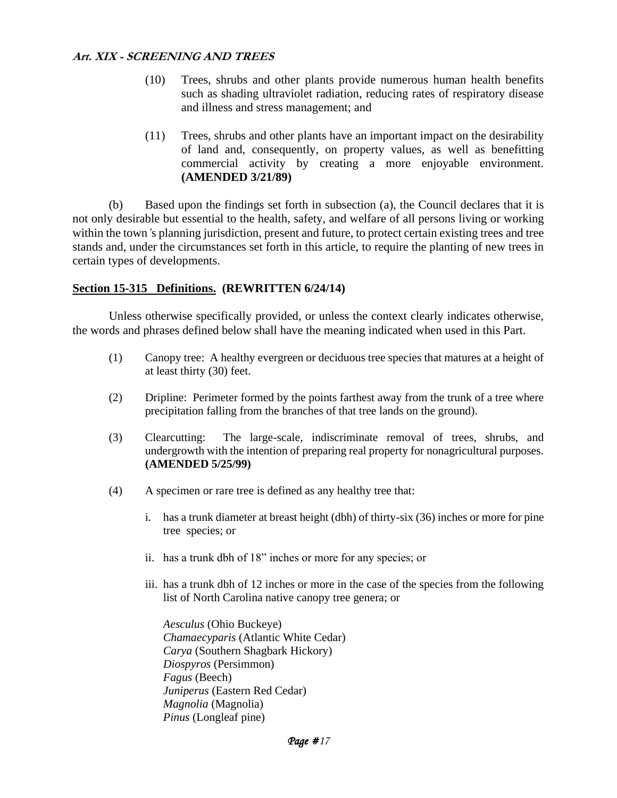- (10) Trees, shrubs and other plants provide numerous human health benefits such as shading ultraviolet radiation, reducing rates of respiratory disease and illness and stress management; and
- (11) Trees, shrubs and other plants have an important impact on the desirability of land and, consequently, on property values, as well as benefitting commercial activity by creating a more enjoyable environment. **(AMENDED 3/21/89)**

(b) Based upon the findings set forth in subsection (a), the Council declares that it is not only desirable but essential to the health, safety, and welfare of all persons living or working within the town *'s* planning jurisdiction, present and future, to protect certain existing trees and tree stands and, under the circumstances set forth in this article, to require the planting of new trees in certain types of developments.

### **Section 15-315 Definitions. (REWRITTEN 6/24/14)**

Unless otherwise specifically provided, or unless the context clearly indicates otherwise, the words and phrases defined below shall have the meaning indicated when used in this Part.

- (1) Canopy tree: A healthy evergreen or deciduous tree species that matures at a height of at least thirty (30) feet.
- (2) Dripline: Perimeter formed by the points farthest away from the trunk of a tree where precipitation falling from the branches of that tree lands on the ground).
- (3) Clearcutting: The large-scale, indiscriminate removal of trees, shrubs, and undergrowth with the intention of preparing real property for nonagricultural purposes. **(AMENDED 5/25/99)**
- (4) A specimen or rare tree is defined as any healthy tree that:
	- i. has a trunk diameter at breast height (dbh) of thirty-six (36) inches or more for pine tree species; or
	- ii. has a trunk dbh of 18" inches or more for any species; or
	- iii. has a trunk dbh of 12 inches or more in the case of the species from the following list of North Carolina native canopy tree genera; or

*Aesculus* (Ohio Buckeye) *Chamaecyparis* (Atlantic White Cedar) *Carya* (Southern Shagbark Hickory) *Diospyros* (Persimmon) *Fagus* (Beech) *Juniperus* (Eastern Red Cedar) *Magnolia* (Magnolia) *Pinus* (Longleaf pine)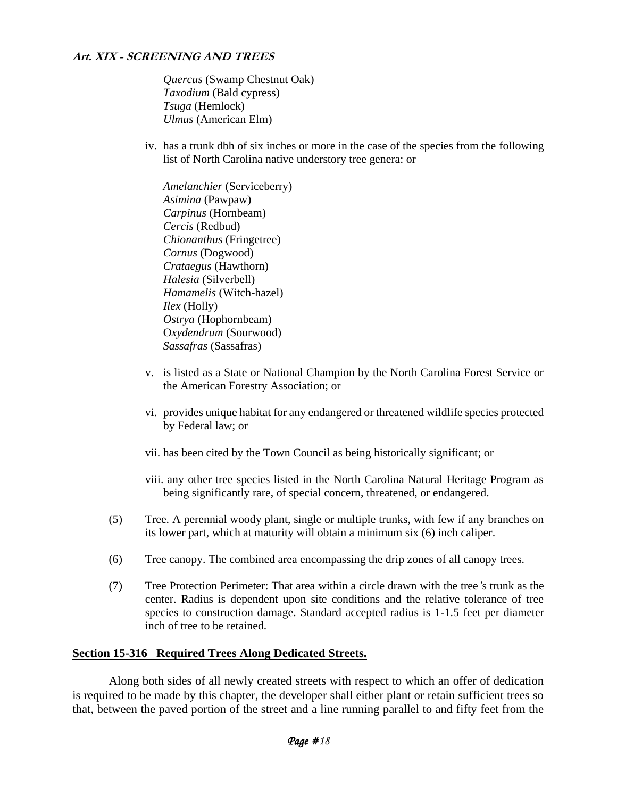*Quercus* (Swamp Chestnut Oak) *Taxodium* (Bald cypress) *Tsuga* (Hemlock) *Ulmus* (American Elm)

iv. has a trunk dbh of six inches or more in the case of the species from the following list of North Carolina native understory tree genera: or

*Amelanchier* (Serviceberry) *Asimina* (Pawpaw) *Carpinus* (Hornbeam) *Cercis* (Redbud) *Chionanthus* (Fringetree) *Cornus* (Dogwood) *Crataegus* (Hawthorn) *Halesia* (Silverbell) *Hamamelis* (Witch-hazel) *Ilex* (Holly) *Ostrya* (Hophornbeam) O*xydendrum* (Sourwood) *Sassafras* (Sassafras)

- v. is listed as a State or National Champion by the North Carolina Forest Service or the American Forestry Association; or
- vi. provides unique habitat for any endangered or threatened wildlife species protected by Federal law; or
- vii. has been cited by the Town Council as being historically significant; or
- viii. any other tree species listed in the North Carolina Natural Heritage Program as being significantly rare, of special concern, threatened, or endangered.
- (5) Tree. A perennial woody plant, single or multiple trunks, with few if any branches on its lower part, which at maturity will obtain a minimum six (6) inch caliper.
- (6) Tree canopy. The combined area encompassing the drip zones of all canopy trees.
- (7) Tree Protection Perimeter: That area within a circle drawn with the tree*'*s trunk as the center. Radius is dependent upon site conditions and the relative tolerance of tree species to construction damage. Standard accepted radius is 1-1.5 feet per diameter inch of tree to be retained.

#### **Section 15-316 Required Trees Along Dedicated Streets.**

Along both sides of all newly created streets with respect to which an offer of dedication is required to be made by this chapter, the developer shall either plant or retain sufficient trees so that, between the paved portion of the street and a line running parallel to and fifty feet from the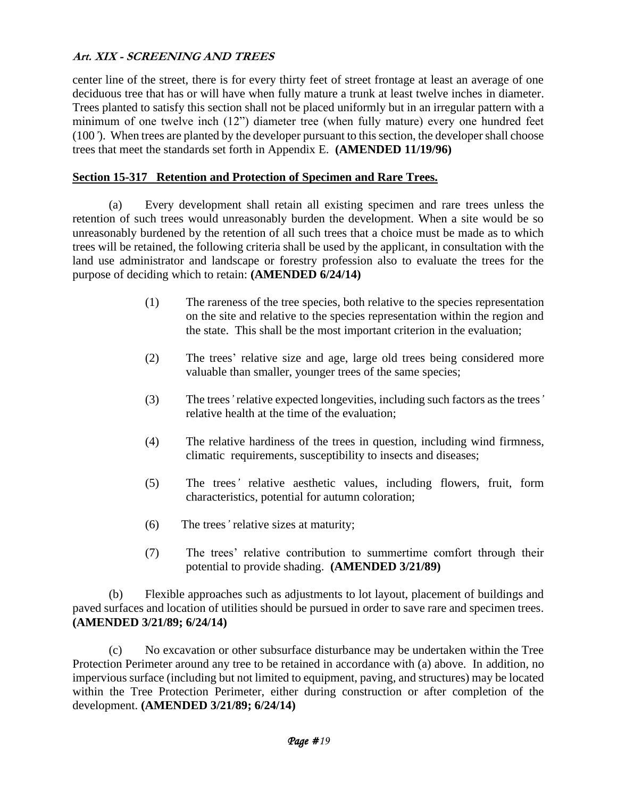center line of the street, there is for every thirty feet of street frontage at least an average of one deciduous tree that has or will have when fully mature a trunk at least twelve inches in diameter. Trees planted to satisfy this section shall not be placed uniformly but in an irregular pattern with a minimum of one twelve inch (12") diameter tree (when fully mature) every one hundred feet (100*'*). When trees are planted by the developer pursuant to this section, the developer shall choose trees that meet the standards set forth in Appendix E. **(AMENDED 11/19/96)**

### **Section 15-317 Retention and Protection of Specimen and Rare Trees.**

(a) Every development shall retain all existing specimen and rare trees unless the retention of such trees would unreasonably burden the development. When a site would be so unreasonably burdened by the retention of all such trees that a choice must be made as to which trees will be retained, the following criteria shall be used by the applicant, in consultation with the land use administrator and landscape or forestry profession also to evaluate the trees for the purpose of deciding which to retain: **(AMENDED 6/24/14)**

- (1) The rareness of the tree species, both relative to the species representation on the site and relative to the species representation within the region and the state. This shall be the most important criterion in the evaluation;
- (2) The trees' relative size and age, large old trees being considered more valuable than smaller, younger trees of the same species;
- (3) The trees*'* relative expected longevities, including such factors as the trees*'* relative health at the time of the evaluation;
- (4) The relative hardiness of the trees in question, including wind firmness, climatic requirements, susceptibility to insects and diseases;
- (5) The trees*'* relative aesthetic values, including flowers, fruit, form characteristics, potential for autumn coloration;
- (6) The trees*'* relative sizes at maturity;
- (7) The trees' relative contribution to summertime comfort through their potential to provide shading. **(AMENDED 3/21/89)**

(b) Flexible approaches such as adjustments to lot layout, placement of buildings and paved surfaces and location of utilities should be pursued in order to save rare and specimen trees. **(AMENDED 3/21/89; 6/24/14)**

(c) No excavation or other subsurface disturbance may be undertaken within the Tree Protection Perimeter around any tree to be retained in accordance with (a) above. In addition, no impervious surface (including but not limited to equipment, paving, and structures) may be located within the Tree Protection Perimeter, either during construction or after completion of the development. **(AMENDED 3/21/89; 6/24/14)**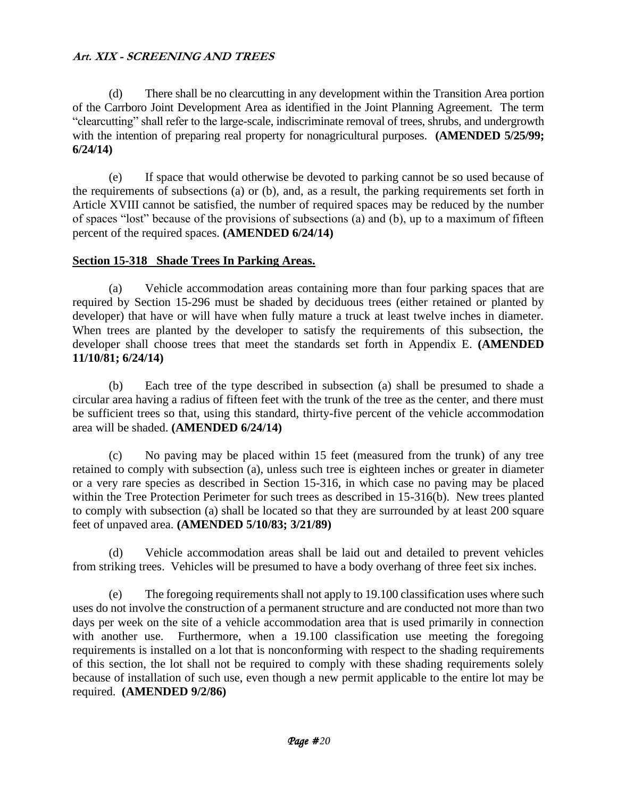(d) There shall be no clearcutting in any development within the Transition Area portion of the Carrboro Joint Development Area as identified in the Joint Planning Agreement. The term "clearcutting" shall refer to the large-scale, indiscriminate removal of trees, shrubs, and undergrowth with the intention of preparing real property for nonagricultural purposes. **(AMENDED 5/25/99; 6/24/14)**

(e) If space that would otherwise be devoted to parking cannot be so used because of the requirements of subsections (a) or (b), and, as a result, the parking requirements set forth in Article XVIII cannot be satisfied, the number of required spaces may be reduced by the number of spaces "lost" because of the provisions of subsections (a) and (b), up to a maximum of fifteen percent of the required spaces. **(AMENDED 6/24/14)**

## **Section 15-318 Shade Trees In Parking Areas.**

(a) Vehicle accommodation areas containing more than four parking spaces that are required by Section 15-296 must be shaded by deciduous trees (either retained or planted by developer) that have or will have when fully mature a truck at least twelve inches in diameter. When trees are planted by the developer to satisfy the requirements of this subsection, the developer shall choose trees that meet the standards set forth in Appendix E. **(AMENDED 11/10/81; 6/24/14)**

(b) Each tree of the type described in subsection (a) shall be presumed to shade a circular area having a radius of fifteen feet with the trunk of the tree as the center, and there must be sufficient trees so that, using this standard, thirty-five percent of the vehicle accommodation area will be shaded. **(AMENDED 6/24/14)**

(c) No paving may be placed within 15 feet (measured from the trunk) of any tree retained to comply with subsection (a), unless such tree is eighteen inches or greater in diameter or a very rare species as described in Section 15-316, in which case no paving may be placed within the Tree Protection Perimeter for such trees as described in 15-316(b). New trees planted to comply with subsection (a) shall be located so that they are surrounded by at least 200 square feet of unpaved area. **(AMENDED 5/10/83; 3/21/89)**

(d) Vehicle accommodation areas shall be laid out and detailed to prevent vehicles from striking trees. Vehicles will be presumed to have a body overhang of three feet six inches.

(e) The foregoing requirements shall not apply to 19.100 classification uses where such uses do not involve the construction of a permanent structure and are conducted not more than two days per week on the site of a vehicle accommodation area that is used primarily in connection with another use. Furthermore, when a 19.100 classification use meeting the foregoing requirements is installed on a lot that is nonconforming with respect to the shading requirements of this section, the lot shall not be required to comply with these shading requirements solely because of installation of such use, even though a new permit applicable to the entire lot may be required. **(AMENDED 9/2/86)**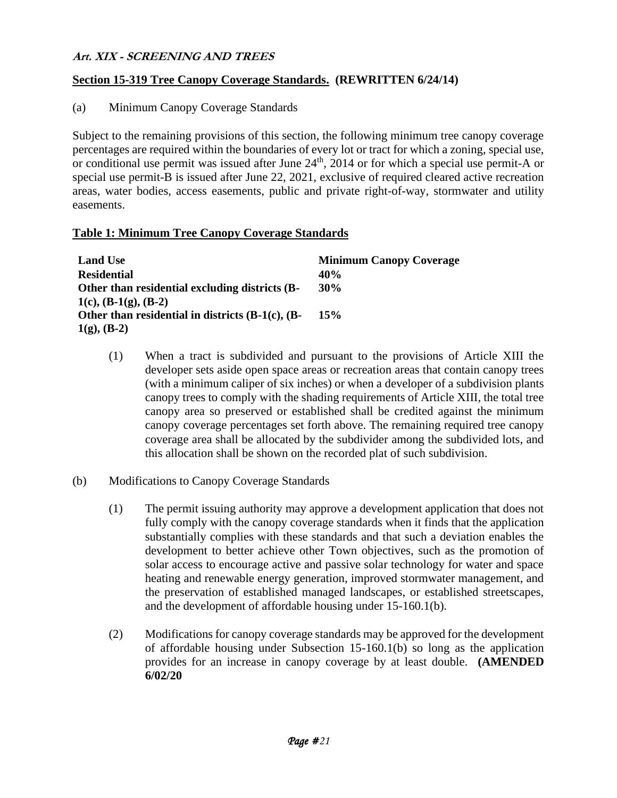### **Section 15-319 Tree Canopy Coverage Standards. (REWRITTEN 6/24/14)**

(a) Minimum Canopy Coverage Standards

Subject to the remaining provisions of this section, the following minimum tree canopy coverage percentages are required within the boundaries of every lot or tract for which a zoning, special use, or conditional use permit was issued after June  $24<sup>th</sup>$ , 2014 or for which a special use permit-A or special use permit-B is issued after June 22, 2021, exclusive of required cleared active recreation areas, water bodies, access easements, public and private right-of-way, stormwater and utility easements.

#### **Table 1: Minimum Tree Canopy Coverage Standards**

| <b>Land Use</b>                                          | <b>Minimum Canopy Coverage</b> |
|----------------------------------------------------------|--------------------------------|
| <b>Residential</b>                                       | 40 <sub>%</sub>                |
| Other than residential excluding districts (B-           | 30%                            |
| 1(c), $(B-1(g), (B-2))$                                  |                                |
| Other than residential in districts $(B-1(c), (B-1(c)))$ | 15%                            |
| $1(g)$ , (B-2)                                           |                                |

- (1) When a tract is subdivided and pursuant to the provisions of Article XIII the developer sets aside open space areas or recreation areas that contain canopy trees (with a minimum caliper of six inches) or when a developer of a subdivision plants canopy trees to comply with the shading requirements of Article XIII, the total tree canopy area so preserved or established shall be credited against the minimum canopy coverage percentages set forth above. The remaining required tree canopy coverage area shall be allocated by the subdivider among the subdivided lots, and this allocation shall be shown on the recorded plat of such subdivision.
- (b) Modifications to Canopy Coverage Standards
	- (1) The permit issuing authority may approve a development application that does not fully comply with the canopy coverage standards when it finds that the application substantially complies with these standards and that such a deviation enables the development to better achieve other Town objectives, such as the promotion of solar access to encourage active and passive solar technology for water and space heating and renewable energy generation, improved stormwater management, and the preservation of established managed landscapes, or established streetscapes, and the development of affordable housing under 15-160.1(b).
	- (2) Modifications for canopy coverage standards may be approved for the development of affordable housing under Subsection 15-160.1(b) so long as the application provides for an increase in canopy coverage by at least double. **(AMENDED 6/02/20**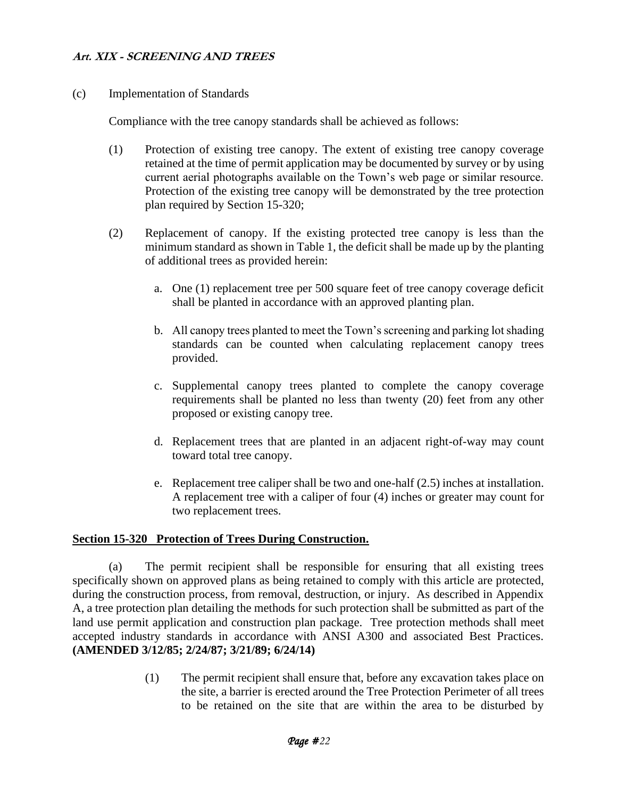(c) Implementation of Standards

Compliance with the tree canopy standards shall be achieved as follows:

- (1) Protection of existing tree canopy. The extent of existing tree canopy coverage retained at the time of permit application may be documented by survey or by using current aerial photographs available on the Town's web page or similar resource. Protection of the existing tree canopy will be demonstrated by the tree protection plan required by Section 15-320;
- (2) Replacement of canopy. If the existing protected tree canopy is less than the minimum standard as shown in Table 1, the deficit shall be made up by the planting of additional trees as provided herein:
	- a. One (1) replacement tree per 500 square feet of tree canopy coverage deficit shall be planted in accordance with an approved planting plan.
	- b. All canopy trees planted to meet the Town's screening and parking lot shading standards can be counted when calculating replacement canopy trees provided.
	- c. Supplemental canopy trees planted to complete the canopy coverage requirements shall be planted no less than twenty (20) feet from any other proposed or existing canopy tree.
	- d. Replacement trees that are planted in an adjacent right-of-way may count toward total tree canopy.
	- e. Replacement tree caliper shall be two and one-half (2.5) inches at installation. A replacement tree with a caliper of four (4) inches or greater may count for two replacement trees.

#### **Section 15-320 Protection of Trees During Construction.**

(a) The permit recipient shall be responsible for ensuring that all existing trees specifically shown on approved plans as being retained to comply with this article are protected, during the construction process, from removal, destruction, or injury. As described in Appendix A, a tree protection plan detailing the methods for such protection shall be submitted as part of the land use permit application and construction plan package. Tree protection methods shall meet accepted industry standards in accordance with ANSI A300 and associated Best Practices. **(AMENDED 3/12/85; 2/24/87; 3/21/89; 6/24/14)**

> (1) The permit recipient shall ensure that, before any excavation takes place on the site, a barrier is erected around the Tree Protection Perimeter of all trees to be retained on the site that are within the area to be disturbed by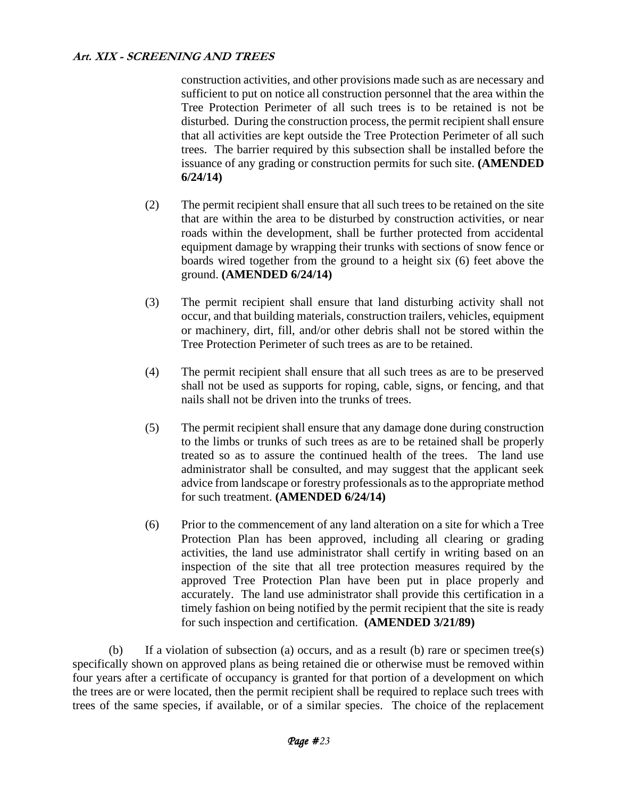construction activities, and other provisions made such as are necessary and sufficient to put on notice all construction personnel that the area within the Tree Protection Perimeter of all such trees is to be retained is not be disturbed. During the construction process, the permit recipient shall ensure that all activities are kept outside the Tree Protection Perimeter of all such trees. The barrier required by this subsection shall be installed before the issuance of any grading or construction permits for such site. **(AMENDED 6/24/14)**

- (2) The permit recipient shall ensure that all such trees to be retained on the site that are within the area to be disturbed by construction activities, or near roads within the development, shall be further protected from accidental equipment damage by wrapping their trunks with sections of snow fence or boards wired together from the ground to a height six (6) feet above the ground. **(AMENDED 6/24/14)**
- (3) The permit recipient shall ensure that land disturbing activity shall not occur, and that building materials, construction trailers, vehicles, equipment or machinery, dirt, fill, and/or other debris shall not be stored within the Tree Protection Perimeter of such trees as are to be retained.
- (4) The permit recipient shall ensure that all such trees as are to be preserved shall not be used as supports for roping, cable, signs, or fencing, and that nails shall not be driven into the trunks of trees.
- (5) The permit recipient shall ensure that any damage done during construction to the limbs or trunks of such trees as are to be retained shall be properly treated so as to assure the continued health of the trees. The land use administrator shall be consulted, and may suggest that the applicant seek advice from landscape or forestry professionals as to the appropriate method for such treatment. **(AMENDED 6/24/14)**
- (6) Prior to the commencement of any land alteration on a site for which a Tree Protection Plan has been approved, including all clearing or grading activities, the land use administrator shall certify in writing based on an inspection of the site that all tree protection measures required by the approved Tree Protection Plan have been put in place properly and accurately. The land use administrator shall provide this certification in a timely fashion on being notified by the permit recipient that the site is ready for such inspection and certification. **(AMENDED 3/21/89)**

(b) If a violation of subsection (a) occurs, and as a result (b) rare or specimen tree(s) specifically shown on approved plans as being retained die or otherwise must be removed within four years after a certificate of occupancy is granted for that portion of a development on which the trees are or were located, then the permit recipient shall be required to replace such trees with trees of the same species, if available, or of a similar species. The choice of the replacement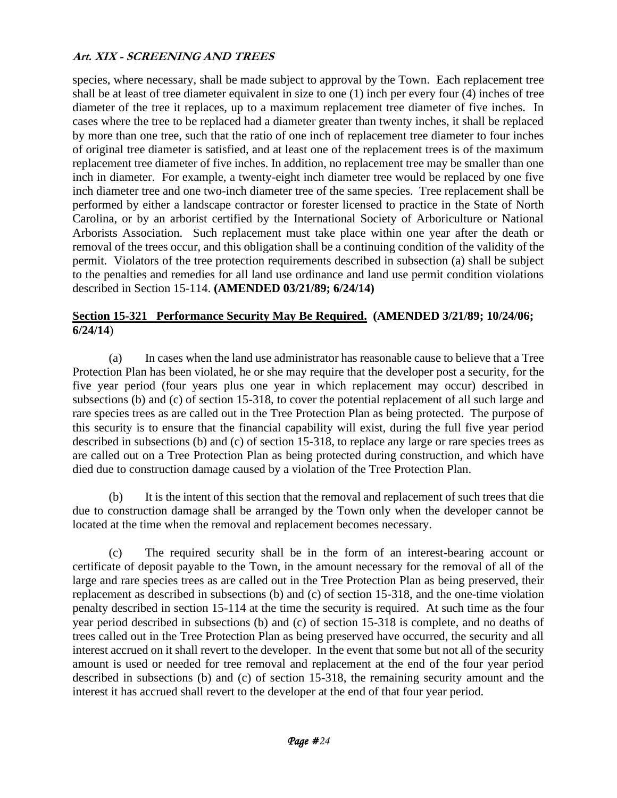species, where necessary, shall be made subject to approval by the Town. Each replacement tree shall be at least of tree diameter equivalent in size to one (1) inch per every four (4) inches of tree diameter of the tree it replaces, up to a maximum replacement tree diameter of five inches. In cases where the tree to be replaced had a diameter greater than twenty inches, it shall be replaced by more than one tree, such that the ratio of one inch of replacement tree diameter to four inches of original tree diameter is satisfied, and at least one of the replacement trees is of the maximum replacement tree diameter of five inches. In addition, no replacement tree may be smaller than one inch in diameter. For example, a twenty-eight inch diameter tree would be replaced by one five inch diameter tree and one two-inch diameter tree of the same species. Tree replacement shall be performed by either a landscape contractor or forester licensed to practice in the State of North Carolina, or by an arborist certified by the International Society of Arboriculture or National Arborists Association. Such replacement must take place within one year after the death or removal of the trees occur, and this obligation shall be a continuing condition of the validity of the permit. Violators of the tree protection requirements described in subsection (a) shall be subject to the penalties and remedies for all land use ordinance and land use permit condition violations described in Section 15-114. **(AMENDED 03/21/89; 6/24/14)**

## **Section 15-321 Performance Security May Be Required. (AMENDED 3/21/89; 10/24/06; 6/24/14**)

(a) In cases when the land use administrator has reasonable cause to believe that a Tree Protection Plan has been violated, he or she may require that the developer post a security, for the five year period (four years plus one year in which replacement may occur) described in subsections (b) and (c) of section 15-318, to cover the potential replacement of all such large and rare species trees as are called out in the Tree Protection Plan as being protected. The purpose of this security is to ensure that the financial capability will exist, during the full five year period described in subsections (b) and (c) of section 15-318, to replace any large or rare species trees as are called out on a Tree Protection Plan as being protected during construction, and which have died due to construction damage caused by a violation of the Tree Protection Plan.

(b) It is the intent of this section that the removal and replacement of such trees that die due to construction damage shall be arranged by the Town only when the developer cannot be located at the time when the removal and replacement becomes necessary.

(c) The required security shall be in the form of an interest-bearing account or certificate of deposit payable to the Town, in the amount necessary for the removal of all of the large and rare species trees as are called out in the Tree Protection Plan as being preserved, their replacement as described in subsections (b) and (c) of section 15-318, and the one-time violation penalty described in section 15-114 at the time the security is required. At such time as the four year period described in subsections (b) and (c) of section 15-318 is complete, and no deaths of trees called out in the Tree Protection Plan as being preserved have occurred, the security and all interest accrued on it shall revert to the developer. In the event that some but not all of the security amount is used or needed for tree removal and replacement at the end of the four year period described in subsections (b) and (c) of section 15-318, the remaining security amount and the interest it has accrued shall revert to the developer at the end of that four year period.